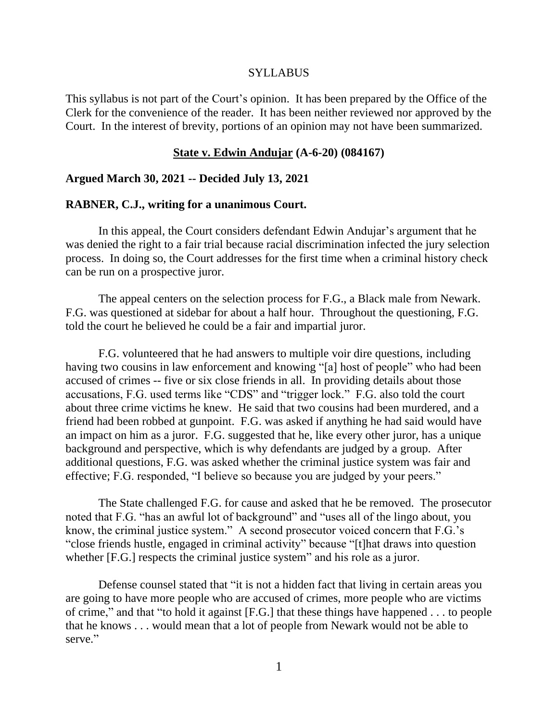#### SYLLABUS

This syllabus is not part of the Court's opinion. It has been prepared by the Office of the Clerk for the convenience of the reader. It has been neither reviewed nor approved by the Court. In the interest of brevity, portions of an opinion may not have been summarized.

#### **State v. Edwin Andujar (A-6-20) (084167)**

#### **Argued March 30, 2021 -- Decided July 13, 2021**

#### **RABNER, C.J., writing for a unanimous Court.**

In this appeal, the Court considers defendant Edwin Andujar's argument that he was denied the right to a fair trial because racial discrimination infected the jury selection process. In doing so, the Court addresses for the first time when a criminal history check can be run on a prospective juror.

The appeal centers on the selection process for F.G., a Black male from Newark. F.G. was questioned at sidebar for about a half hour. Throughout the questioning, F.G. told the court he believed he could be a fair and impartial juror.

F.G. volunteered that he had answers to multiple voir dire questions, including having two cousins in law enforcement and knowing "[a] host of people" who had been accused of crimes -- five or six close friends in all. In providing details about those accusations, F.G. used terms like "CDS" and "trigger lock." F.G. also told the court about three crime victims he knew. He said that two cousins had been murdered, and a friend had been robbed at gunpoint. F.G. was asked if anything he had said would have an impact on him as a juror. F.G. suggested that he, like every other juror, has a unique background and perspective, which is why defendants are judged by a group. After additional questions, F.G. was asked whether the criminal justice system was fair and effective; F.G. responded, "I believe so because you are judged by your peers."

The State challenged F.G. for cause and asked that he be removed. The prosecutor noted that F.G. "has an awful lot of background" and "uses all of the lingo about, you know, the criminal justice system." A second prosecutor voiced concern that F.G.'s "close friends hustle, engaged in criminal activity" because "[t]hat draws into question whether [F.G.] respects the criminal justice system" and his role as a juror.

Defense counsel stated that "it is not a hidden fact that living in certain areas you are going to have more people who are accused of crimes, more people who are victims of crime," and that "to hold it against [F.G.] that these things have happened . . . to people that he knows . . . would mean that a lot of people from Newark would not be able to serve."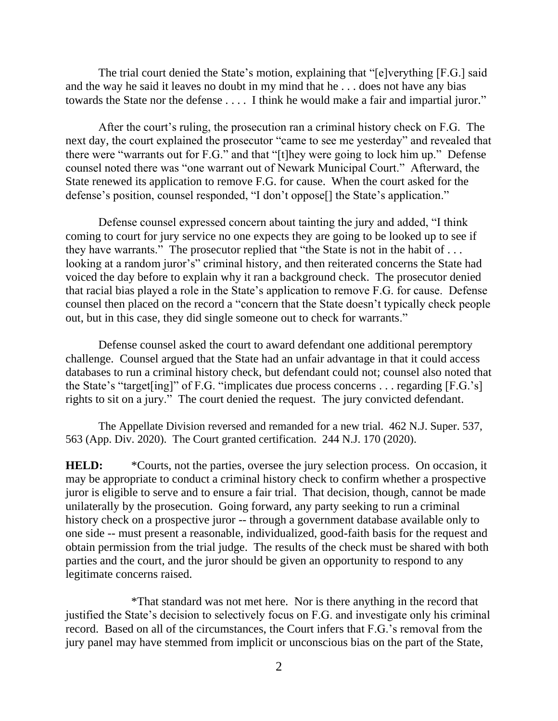The trial court denied the State's motion, explaining that "[e]verything [F.G.] said and the way he said it leaves no doubt in my mind that he . . . does not have any bias towards the State nor the defense . . . . I think he would make a fair and impartial juror."

After the court's ruling, the prosecution ran a criminal history check on F.G. The next day, the court explained the prosecutor "came to see me yesterday" and revealed that there were "warrants out for F.G." and that "[t]hey were going to lock him up." Defense counsel noted there was "one warrant out of Newark Municipal Court." Afterward, the State renewed its application to remove F.G. for cause. When the court asked for the defense's position, counsel responded, "I don't oppose[] the State's application."

Defense counsel expressed concern about tainting the jury and added, "I think coming to court for jury service no one expects they are going to be looked up to see if they have warrants." The prosecutor replied that "the State is not in the habit of ... looking at a random juror's" criminal history, and then reiterated concerns the State had voiced the day before to explain why it ran a background check. The prosecutor denied that racial bias played a role in the State's application to remove F.G. for cause. Defense counsel then placed on the record a "concern that the State doesn't typically check people out, but in this case, they did single someone out to check for warrants."

Defense counsel asked the court to award defendant one additional peremptory challenge. Counsel argued that the State had an unfair advantage in that it could access databases to run a criminal history check, but defendant could not; counsel also noted that the State's "target[ing]" of F.G. "implicates due process concerns . . . regarding [F.G.'s] rights to sit on a jury." The court denied the request. The jury convicted defendant.

The Appellate Division reversed and remanded for a new trial. 462 N.J. Super. 537, 563 (App. Div. 2020). The Court granted certification. 244 N.J. 170 (2020).

**HELD:** \*Courts, not the parties, oversee the jury selection process. On occasion, it may be appropriate to conduct a criminal history check to confirm whether a prospective juror is eligible to serve and to ensure a fair trial. That decision, though, cannot be made unilaterally by the prosecution. Going forward, any party seeking to run a criminal history check on a prospective juror -- through a government database available only to one side -- must present a reasonable, individualized, good-faith basis for the request and obtain permission from the trial judge. The results of the check must be shared with both parties and the court, and the juror should be given an opportunity to respond to any legitimate concerns raised.

\*That standard was not met here. Nor is there anything in the record that justified the State's decision to selectively focus on F.G. and investigate only his criminal record. Based on all of the circumstances, the Court infers that F.G.'s removal from the jury panel may have stemmed from implicit or unconscious bias on the part of the State,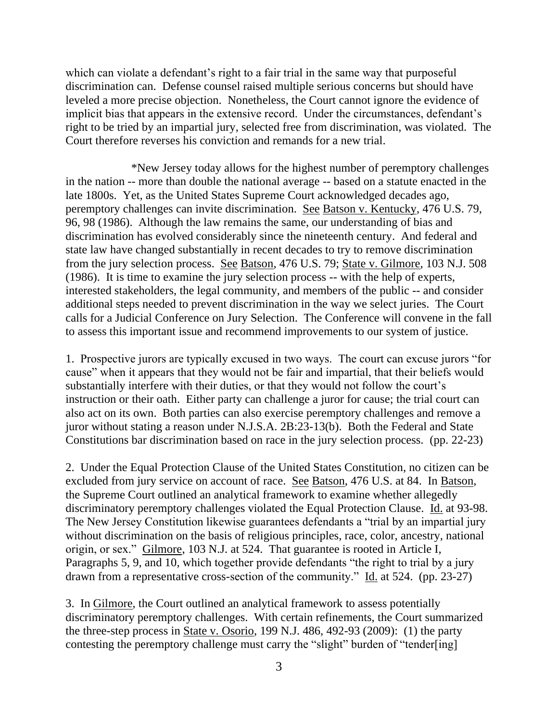which can violate a defendant's right to a fair trial in the same way that purposeful discrimination can. Defense counsel raised multiple serious concerns but should have leveled a more precise objection. Nonetheless, the Court cannot ignore the evidence of implicit bias that appears in the extensive record. Under the circumstances, defendant's right to be tried by an impartial jury, selected free from discrimination, was violated. The Court therefore reverses his conviction and remands for a new trial.

\*New Jersey today allows for the highest number of peremptory challenges in the nation -- more than double the national average -- based on a statute enacted in the late 1800s. Yet, as the United States Supreme Court acknowledged decades ago, peremptory challenges can invite discrimination. See Batson v. Kentucky, 476 U.S. 79, 96, 98 (1986). Although the law remains the same, our understanding of bias and discrimination has evolved considerably since the nineteenth century. And federal and state law have changed substantially in recent decades to try to remove discrimination from the jury selection process. See Batson, 476 U.S. 79; State v. Gilmore, 103 N.J. 508 (1986). It is time to examine the jury selection process -- with the help of experts, interested stakeholders, the legal community, and members of the public -- and consider additional steps needed to prevent discrimination in the way we select juries. The Court calls for a Judicial Conference on Jury Selection. The Conference will convene in the fall to assess this important issue and recommend improvements to our system of justice.

1. Prospective jurors are typically excused in two ways. The court can excuse jurors "for cause" when it appears that they would not be fair and impartial, that their beliefs would substantially interfere with their duties, or that they would not follow the court's instruction or their oath. Either party can challenge a juror for cause; the trial court can also act on its own. Both parties can also exercise peremptory challenges and remove a juror without stating a reason under N.J.S.A. 2B:23-13(b). Both the Federal and State Constitutions bar discrimination based on race in the jury selection process. (pp. 22-23)

2. Under the Equal Protection Clause of the United States Constitution, no citizen can be excluded from jury service on account of race. See Batson, 476 U.S. at 84. In Batson, the Supreme Court outlined an analytical framework to examine whether allegedly discriminatory peremptory challenges violated the Equal Protection Clause. Id. at 93-98. The New Jersey Constitution likewise guarantees defendants a "trial by an impartial jury without discrimination on the basis of religious principles, race, color, ancestry, national origin, or sex." Gilmore, 103 N.J. at 524. That guarantee is rooted in Article I, Paragraphs 5, 9, and 10, which together provide defendants "the right to trial by a jury drawn from a representative cross-section of the community." Id. at 524. (pp. 23-27)

3. In Gilmore, the Court outlined an analytical framework to assess potentially discriminatory peremptory challenges. With certain refinements, the Court summarized the three-step process in State v. Osorio, 199 N.J. 486, 492-93 (2009): (1) the party contesting the peremptory challenge must carry the "slight" burden of "tender[ing]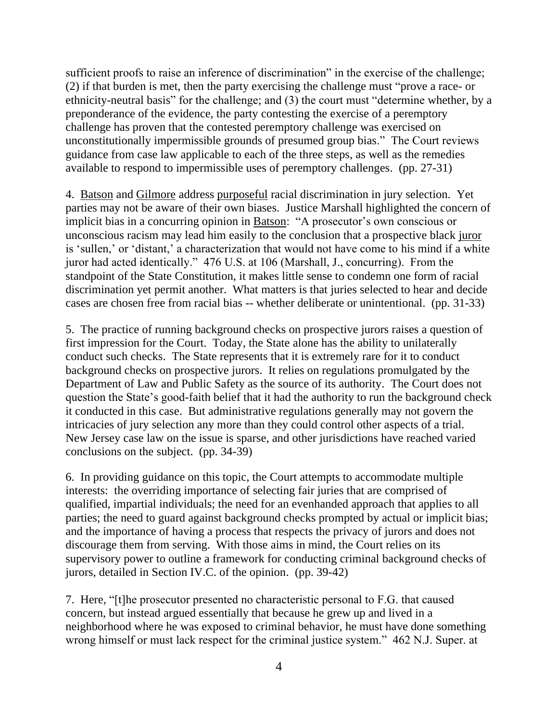sufficient proofs to raise an inference of discrimination" in the exercise of the challenge; (2) if that burden is met, then the party exercising the challenge must "prove a race- or ethnicity-neutral basis" for the challenge; and (3) the court must "determine whether, by a preponderance of the evidence, the party contesting the exercise of a peremptory challenge has proven that the contested peremptory challenge was exercised on unconstitutionally impermissible grounds of presumed group bias." The Court reviews guidance from case law applicable to each of the three steps, as well as the remedies available to respond to impermissible uses of peremptory challenges. (pp. 27-31)

4. Batson and Gilmore address purposeful racial discrimination in jury selection. Yet parties may not be aware of their own biases. Justice Marshall highlighted the concern of implicit bias in a concurring opinion in Batson: "A prosecutor's own conscious or unconscious racism may lead him easily to the conclusion that a prospective black juror is 'sullen,' or 'distant,' a characterization that would not have come to his mind if a white juror had acted identically." 476 U.S. at 106 (Marshall, J., concurring). From the standpoint of the State Constitution, it makes little sense to condemn one form of racial discrimination yet permit another. What matters is that juries selected to hear and decide cases are chosen free from racial bias -- whether deliberate or unintentional. (pp. 31-33)

5. The practice of running background checks on prospective jurors raises a question of first impression for the Court. Today, the State alone has the ability to unilaterally conduct such checks. The State represents that it is extremely rare for it to conduct background checks on prospective jurors. It relies on regulations promulgated by the Department of Law and Public Safety as the source of its authority. The Court does not question the State's good-faith belief that it had the authority to run the background check it conducted in this case. But administrative regulations generally may not govern the intricacies of jury selection any more than they could control other aspects of a trial. New Jersey case law on the issue is sparse, and other jurisdictions have reached varied conclusions on the subject. (pp. 34-39)

6. In providing guidance on this topic, the Court attempts to accommodate multiple interests: the overriding importance of selecting fair juries that are comprised of qualified, impartial individuals; the need for an evenhanded approach that applies to all parties; the need to guard against background checks prompted by actual or implicit bias; and the importance of having a process that respects the privacy of jurors and does not discourage them from serving. With those aims in mind, the Court relies on its supervisory power to outline a framework for conducting criminal background checks of jurors, detailed in Section IV.C. of the opinion. (pp. 39-42)

7. Here, "[t]he prosecutor presented no characteristic personal to F.G. that caused concern, but instead argued essentially that because he grew up and lived in a neighborhood where he was exposed to criminal behavior, he must have done something wrong himself or must lack respect for the criminal justice system." 462 N.J. Super. at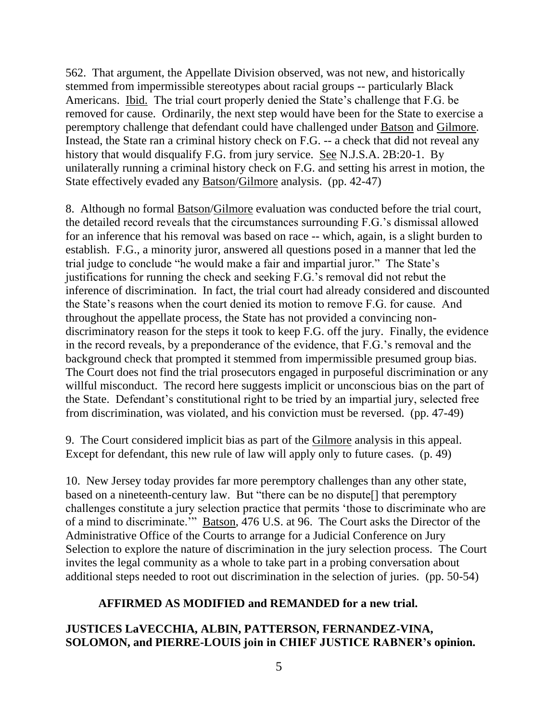562. That argument, the Appellate Division observed, was not new, and historically stemmed from impermissible stereotypes about racial groups -- particularly Black Americans. Ibid. The trial court properly denied the State's challenge that F.G. be removed for cause. Ordinarily, the next step would have been for the State to exercise a peremptory challenge that defendant could have challenged under Batson and Gilmore. Instead, the State ran a criminal history check on F.G. -- a check that did not reveal any history that would disqualify F.G. from jury service. See N.J.S.A. 2B:20-1. By unilaterally running a criminal history check on F.G. and setting his arrest in motion, the State effectively evaded any Batson/Gilmore analysis. (pp. 42-47)

8. Although no formal Batson/Gilmore evaluation was conducted before the trial court, the detailed record reveals that the circumstances surrounding F.G.'s dismissal allowed for an inference that his removal was based on race -- which, again, is a slight burden to establish. F.G., a minority juror, answered all questions posed in a manner that led the trial judge to conclude "he would make a fair and impartial juror." The State's justifications for running the check and seeking F.G.'s removal did not rebut the inference of discrimination. In fact, the trial court had already considered and discounted the State's reasons when the court denied its motion to remove F.G. for cause. And throughout the appellate process, the State has not provided a convincing nondiscriminatory reason for the steps it took to keep F.G. off the jury. Finally, the evidence in the record reveals, by a preponderance of the evidence, that F.G.'s removal and the background check that prompted it stemmed from impermissible presumed group bias. The Court does not find the trial prosecutors engaged in purposeful discrimination or any willful misconduct. The record here suggests implicit or unconscious bias on the part of the State. Defendant's constitutional right to be tried by an impartial jury, selected free from discrimination, was violated, and his conviction must be reversed. (pp. 47-49)

9. The Court considered implicit bias as part of the Gilmore analysis in this appeal. Except for defendant, this new rule of law will apply only to future cases. (p. 49)

10. New Jersey today provides far more peremptory challenges than any other state, based on a nineteenth-century law. But "there can be no dispute[] that peremptory challenges constitute a jury selection practice that permits 'those to discriminate who are of a mind to discriminate.'" Batson, 476 U.S. at 96. The Court asks the Director of the Administrative Office of the Courts to arrange for a Judicial Conference on Jury Selection to explore the nature of discrimination in the jury selection process. The Court invites the legal community as a whole to take part in a probing conversation about additional steps needed to root out discrimination in the selection of juries. (pp. 50-54)

# **AFFIRMED AS MODIFIED and REMANDED for a new trial.**

# **JUSTICES LaVECCHIA, ALBIN, PATTERSON, FERNANDEZ-VINA, SOLOMON, and PIERRE-LOUIS join in CHIEF JUSTICE RABNER's opinion.**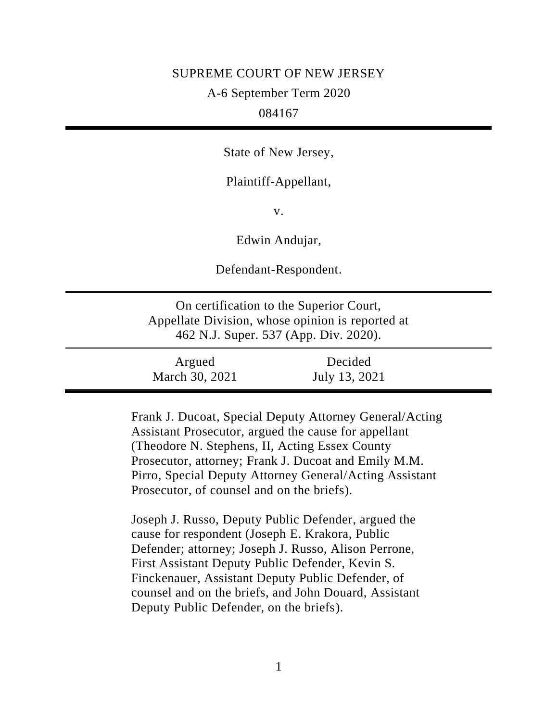#### SUPREME COURT OF NEW JERSEY

## A-6 September Term 2020

# 084167

State of New Jersey,

Plaintiff-Appellant,

v.

Edwin Andujar,

Defendant-Respondent.

On certification to the Superior Court, Appellate Division, whose opinion is reported at 462 N.J. Super. 537 (App. Div. 2020).

| Argued         | Decided       |  |
|----------------|---------------|--|
| March 30, 2021 | July 13, 2021 |  |

Frank J. Ducoat, Special Deputy Attorney General/Acting Assistant Prosecutor, argued the cause for appellant (Theodore N. Stephens, II, Acting Essex County Prosecutor, attorney; Frank J. Ducoat and Emily M.M. Pirro, Special Deputy Attorney General/Acting Assistant Prosecutor, of counsel and on the briefs).

Joseph J. Russo, Deputy Public Defender, argued the cause for respondent (Joseph E. Krakora, Public Defender; attorney; Joseph J. Russo, Alison Perrone, First Assistant Deputy Public Defender, Kevin S. Finckenauer, Assistant Deputy Public Defender, of counsel and on the briefs, and John Douard, Assistant Deputy Public Defender, on the briefs).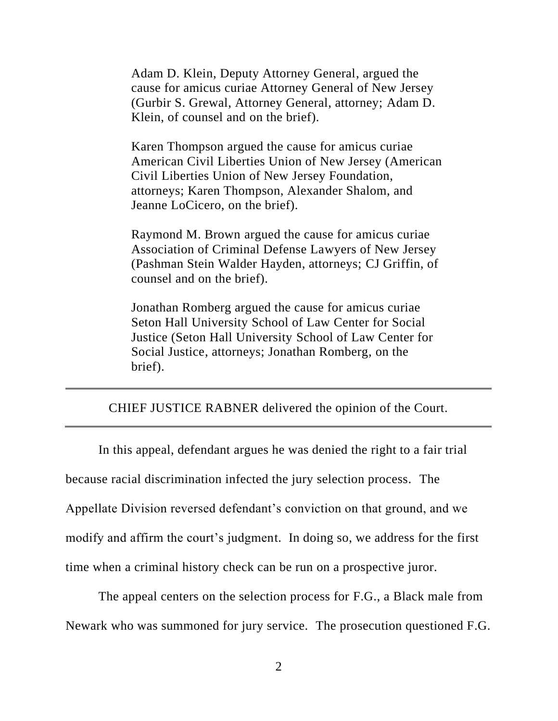Adam D. Klein, Deputy Attorney General, argued the cause for amicus curiae Attorney General of New Jersey (Gurbir S. Grewal, Attorney General, attorney; Adam D. Klein, of counsel and on the brief).

Karen Thompson argued the cause for amicus curiae American Civil Liberties Union of New Jersey (American Civil Liberties Union of New Jersey Foundation, attorneys; Karen Thompson, Alexander Shalom, and Jeanne LoCicero, on the brief).

Raymond M. Brown argued the cause for amicus curiae Association of Criminal Defense Lawyers of New Jersey (Pashman Stein Walder Hayden, attorneys; CJ Griffin, of counsel and on the brief).

Jonathan Romberg argued the cause for amicus curiae Seton Hall University School of Law Center for Social Justice (Seton Hall University School of Law Center for Social Justice, attorneys; Jonathan Romberg, on the brief).

## CHIEF JUSTICE RABNER delivered the opinion of the Court.

In this appeal, defendant argues he was denied the right to a fair trial because racial discrimination infected the jury selection process. The Appellate Division reversed defendant's conviction on that ground, and we modify and affirm the court's judgment. In doing so, we address for the first time when a criminal history check can be run on a prospective juror.

The appeal centers on the selection process for F.G., a Black male from Newark who was summoned for jury service. The prosecution questioned F.G.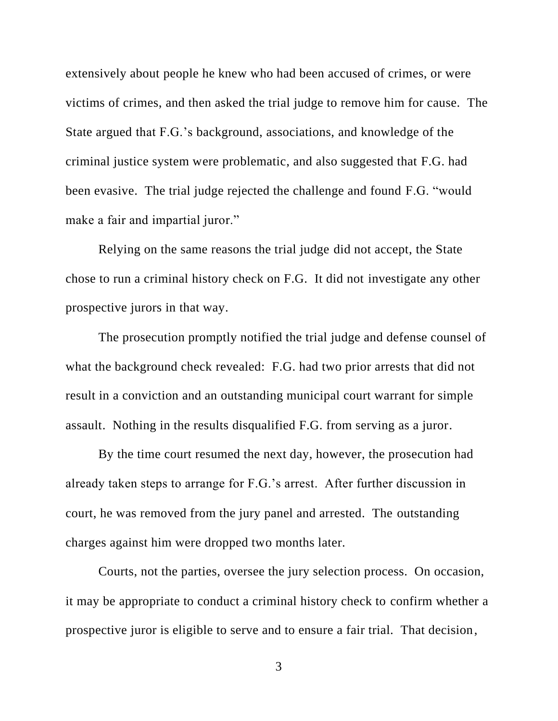extensively about people he knew who had been accused of crimes, or were victims of crimes, and then asked the trial judge to remove him for cause. The State argued that F.G.'s background, associations, and knowledge of the criminal justice system were problematic, and also suggested that F.G. had been evasive. The trial judge rejected the challenge and found F.G. "would make a fair and impartial juror."

Relying on the same reasons the trial judge did not accept, the State chose to run a criminal history check on F.G. It did not investigate any other prospective jurors in that way.

The prosecution promptly notified the trial judge and defense counsel of what the background check revealed: F.G. had two prior arrests that did not result in a conviction and an outstanding municipal court warrant for simple assault. Nothing in the results disqualified F.G. from serving as a juror.

By the time court resumed the next day, however, the prosecution had already taken steps to arrange for F.G.'s arrest. After further discussion in court, he was removed from the jury panel and arrested. The outstanding charges against him were dropped two months later.

Courts, not the parties, oversee the jury selection process. On occasion, it may be appropriate to conduct a criminal history check to confirm whether a prospective juror is eligible to serve and to ensure a fair trial. That decision,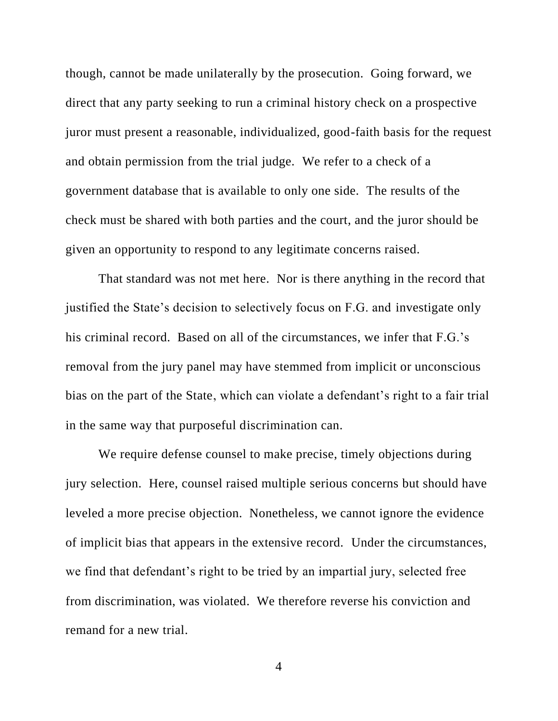though, cannot be made unilaterally by the prosecution. Going forward, we direct that any party seeking to run a criminal history check on a prospective juror must present a reasonable, individualized, good-faith basis for the request and obtain permission from the trial judge. We refer to a check of a government database that is available to only one side. The results of the check must be shared with both parties and the court, and the juror should be given an opportunity to respond to any legitimate concerns raised.

That standard was not met here. Nor is there anything in the record that justified the State's decision to selectively focus on F.G. and investigate only his criminal record. Based on all of the circumstances, we infer that F.G.'s removal from the jury panel may have stemmed from implicit or unconscious bias on the part of the State, which can violate a defendant's right to a fair trial in the same way that purposeful discrimination can.

We require defense counsel to make precise, timely objections during jury selection. Here, counsel raised multiple serious concerns but should have leveled a more precise objection. Nonetheless, we cannot ignore the evidence of implicit bias that appears in the extensive record. Under the circumstances, we find that defendant's right to be tried by an impartial jury, selected free from discrimination, was violated. We therefore reverse his conviction and remand for a new trial.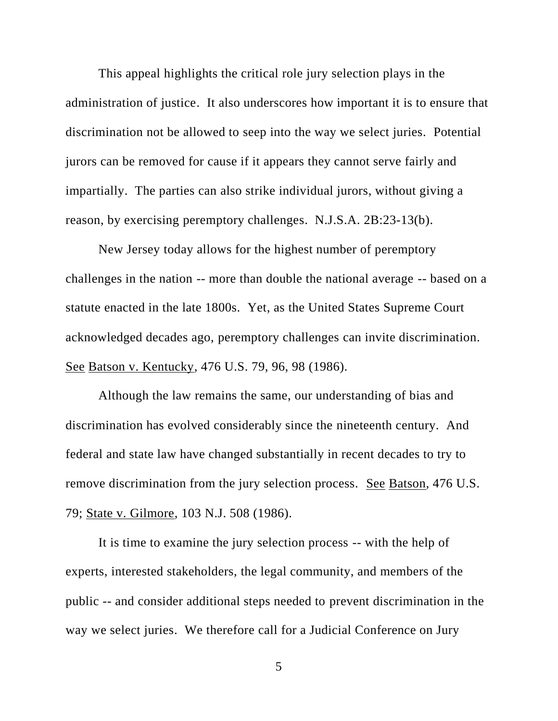This appeal highlights the critical role jury selection plays in the administration of justice. It also underscores how important it is to ensure that discrimination not be allowed to seep into the way we select juries. Potential jurors can be removed for cause if it appears they cannot serve fairly and impartially. The parties can also strike individual jurors, without giving a reason, by exercising peremptory challenges. N.J.S.A. 2B:23-13(b).

New Jersey today allows for the highest number of peremptory challenges in the nation -- more than double the national average -- based on a statute enacted in the late 1800s. Yet, as the United States Supreme Court acknowledged decades ago, peremptory challenges can invite discrimination. See Batson v. Kentucky, 476 U.S. 79, 96, 98 (1986).

Although the law remains the same, our understanding of bias and discrimination has evolved considerably since the nineteenth century. And federal and state law have changed substantially in recent decades to try to remove discrimination from the jury selection process. See Batson, 476 U.S. 79; State v. Gilmore, 103 N.J. 508 (1986).

It is time to examine the jury selection process -- with the help of experts, interested stakeholders, the legal community, and members of the public -- and consider additional steps needed to prevent discrimination in the way we select juries. We therefore call for a Judicial Conference on Jury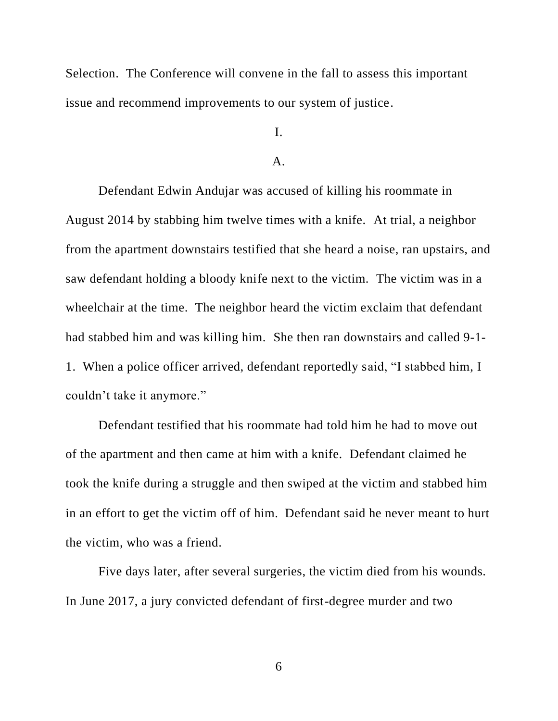Selection. The Conference will convene in the fall to assess this important issue and recommend improvements to our system of justice.

I.

### $A<sub>1</sub>$

Defendant Edwin Andujar was accused of killing his roommate in August 2014 by stabbing him twelve times with a knife. At trial, a neighbor from the apartment downstairs testified that she heard a noise, ran upstairs, and saw defendant holding a bloody knife next to the victim. The victim was in a wheelchair at the time. The neighbor heard the victim exclaim that defendant had stabbed him and was killing him. She then ran downstairs and called 9-1- 1. When a police officer arrived, defendant reportedly said, "I stabbed him, I couldn't take it anymore."

Defendant testified that his roommate had told him he had to move out of the apartment and then came at him with a knife. Defendant claimed he took the knife during a struggle and then swiped at the victim and stabbed him in an effort to get the victim off of him. Defendant said he never meant to hurt the victim, who was a friend.

Five days later, after several surgeries, the victim died from his wounds. In June 2017, a jury convicted defendant of first-degree murder and two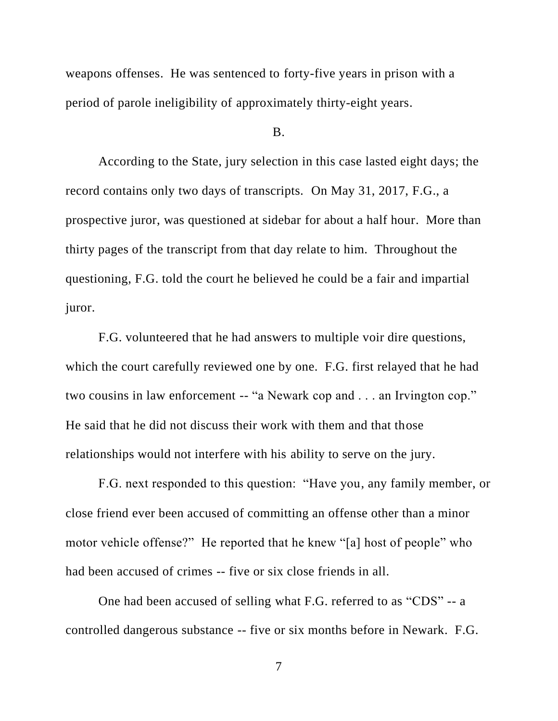weapons offenses. He was sentenced to forty-five years in prison with a period of parole ineligibility of approximately thirty-eight years.

## B.

According to the State, jury selection in this case lasted eight days; the record contains only two days of transcripts. On May 31, 2017, F.G., a prospective juror, was questioned at sidebar for about a half hour. More than thirty pages of the transcript from that day relate to him. Throughout the questioning, F.G. told the court he believed he could be a fair and impartial juror.

F.G. volunteered that he had answers to multiple voir dire questions, which the court carefully reviewed one by one. F.G. first relayed that he had two cousins in law enforcement -- "a Newark cop and . . . an Irvington cop." He said that he did not discuss their work with them and that those relationships would not interfere with his ability to serve on the jury.

F.G. next responded to this question: "Have you, any family member, or close friend ever been accused of committing an offense other than a minor motor vehicle offense?" He reported that he knew "[a] host of people" who had been accused of crimes -- five or six close friends in all.

One had been accused of selling what F.G. referred to as "CDS" -- a controlled dangerous substance -- five or six months before in Newark. F.G.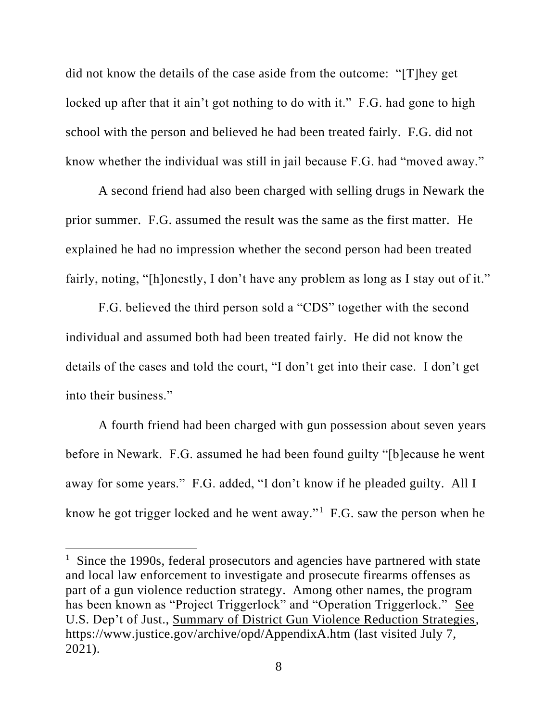did not know the details of the case aside from the outcome: "[T]hey get locked up after that it ain't got nothing to do with it." F.G. had gone to high school with the person and believed he had been treated fairly. F.G. did not know whether the individual was still in jail because F.G. had "moved away."

A second friend had also been charged with selling drugs in Newark the prior summer. F.G. assumed the result was the same as the first matter. He explained he had no impression whether the second person had been treated fairly, noting, "[h]onestly, I don't have any problem as long as I stay out of it."

F.G. believed the third person sold a "CDS" together with the second individual and assumed both had been treated fairly. He did not know the details of the cases and told the court, "I don't get into their case. I don't get into their business."

A fourth friend had been charged with gun possession about seven years before in Newark. F.G. assumed he had been found guilty "[b]ecause he went away for some years." F.G. added, "I don't know if he pleaded guilty. All I know he got trigger locked and he went away." $1$  F.G. saw the person when he

<sup>&</sup>lt;sup>1</sup> Since the 1990s, federal prosecutors and agencies have partnered with state and local law enforcement to investigate and prosecute firearms offenses as part of a gun violence reduction strategy. Among other names, the program has been known as "Project Triggerlock" and "Operation Triggerlock." See U.S. Dep't of Just., Summary of District Gun Violence Reduction Strategies, https://www.justice.gov/archive/opd/AppendixA.htm (last visited July 7, 2021).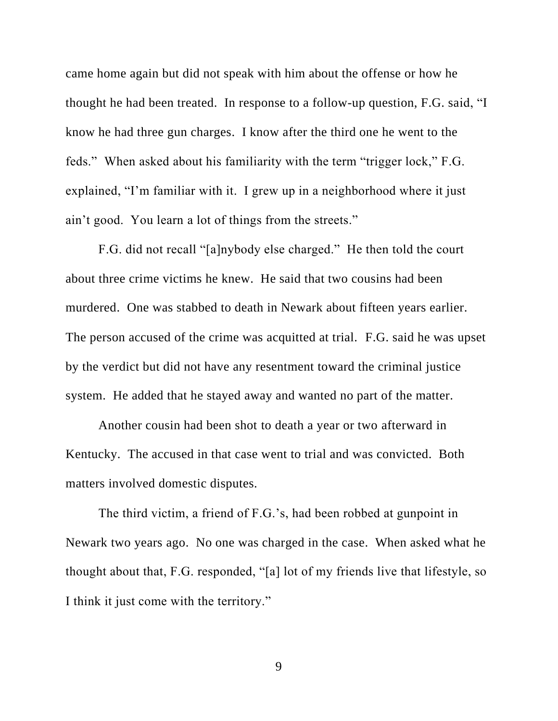came home again but did not speak with him about the offense or how he thought he had been treated. In response to a follow-up question, F.G. said, "I know he had three gun charges. I know after the third one he went to the feds." When asked about his familiarity with the term "trigger lock," F.G. explained, "I'm familiar with it. I grew up in a neighborhood where it just ain't good. You learn a lot of things from the streets."

F.G. did not recall "[a]nybody else charged." He then told the court about three crime victims he knew. He said that two cousins had been murdered. One was stabbed to death in Newark about fifteen years earlier. The person accused of the crime was acquitted at trial. F.G. said he was upset by the verdict but did not have any resentment toward the criminal justice system. He added that he stayed away and wanted no part of the matter.

Another cousin had been shot to death a year or two afterward in Kentucky. The accused in that case went to trial and was convicted. Both matters involved domestic disputes.

The third victim, a friend of F.G.'s, had been robbed at gunpoint in Newark two years ago. No one was charged in the case. When asked what he thought about that, F.G. responded, "[a] lot of my friends live that lifestyle, so I think it just come with the territory."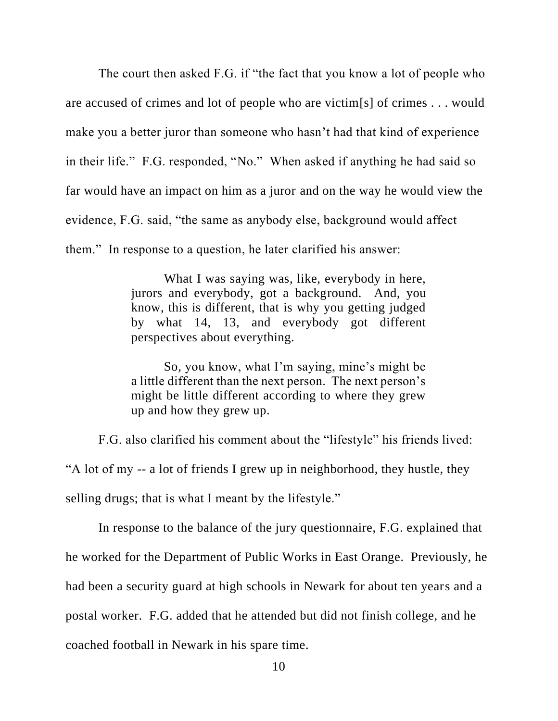The court then asked F.G. if "the fact that you know a lot of people who are accused of crimes and lot of people who are victim[s] of crimes . . . would make you a better juror than someone who hasn't had that kind of experience in their life." F.G. responded, "No." When asked if anything he had said so far would have an impact on him as a juror and on the way he would view the evidence, F.G. said, "the same as anybody else, background would affect them." In response to a question, he later clarified his answer:

> What I was saying was, like, everybody in here, jurors and everybody, got a background. And, you know, this is different, that is why you getting judged by what 14, 13, and everybody got different perspectives about everything.

> So, you know, what I'm saying, mine's might be a little different than the next person. The next person's might be little different according to where they grew up and how they grew up.

F.G. also clarified his comment about the "lifestyle" his friends lived:

"A lot of my -- a lot of friends I grew up in neighborhood, they hustle, they

selling drugs; that is what I meant by the lifestyle."

In response to the balance of the jury questionnaire, F.G. explained that he worked for the Department of Public Works in East Orange. Previously, he had been a security guard at high schools in Newark for about ten years and a postal worker. F.G. added that he attended but did not finish college, and he coached football in Newark in his spare time.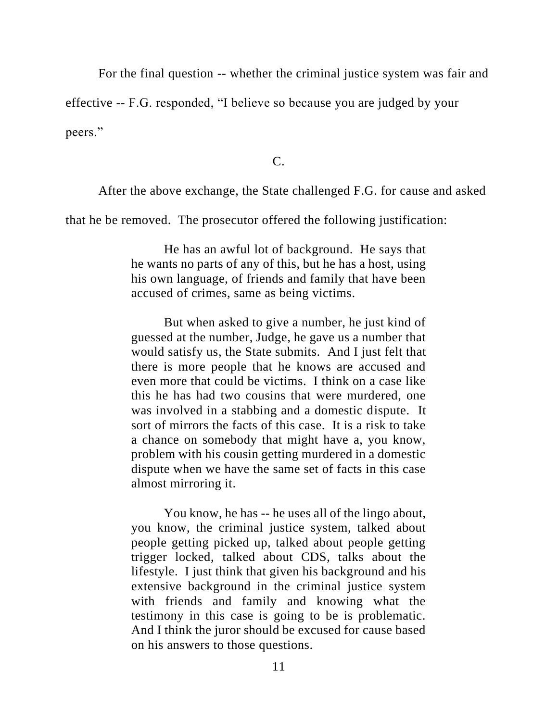For the final question -- whether the criminal justice system was fair and

effective -- F.G. responded, "I believe so because you are judged by your

peers."

C.

After the above exchange, the State challenged F.G. for cause and asked

that he be removed. The prosecutor offered the following justification:

He has an awful lot of background. He says that he wants no parts of any of this, but he has a host, using his own language, of friends and family that have been accused of crimes, same as being victims.

But when asked to give a number, he just kind of guessed at the number, Judge, he gave us a number that would satisfy us, the State submits. And I just felt that there is more people that he knows are accused and even more that could be victims. I think on a case like this he has had two cousins that were murdered, one was involved in a stabbing and a domestic dispute. It sort of mirrors the facts of this case. It is a risk to take a chance on somebody that might have a, you know, problem with his cousin getting murdered in a domestic dispute when we have the same set of facts in this case almost mirroring it.

You know, he has -- he uses all of the lingo about, you know, the criminal justice system, talked about people getting picked up, talked about people getting trigger locked, talked about CDS, talks about the lifestyle. I just think that given his background and his extensive background in the criminal justice system with friends and family and knowing what the testimony in this case is going to be is problematic. And I think the juror should be excused for cause based on his answers to those questions.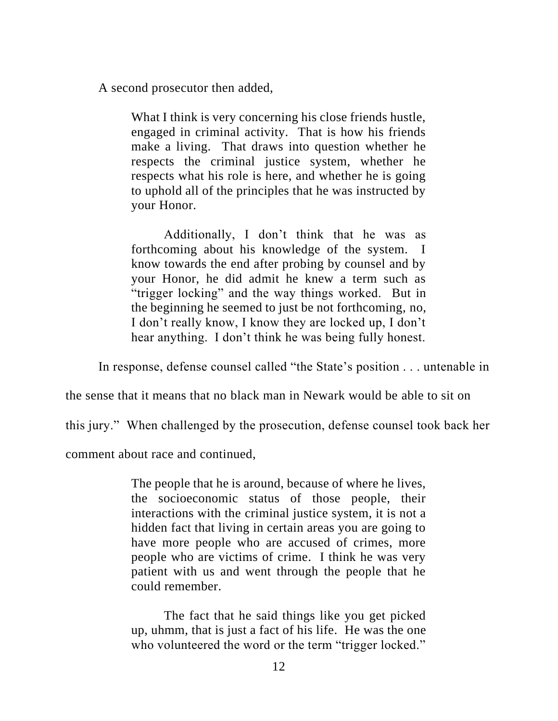A second prosecutor then added,

What I think is very concerning his close friends hustle, engaged in criminal activity. That is how his friends make a living. That draws into question whether he respects the criminal justice system, whether he respects what his role is here, and whether he is going to uphold all of the principles that he was instructed by your Honor.

Additionally, I don't think that he was as forthcoming about his knowledge of the system. I know towards the end after probing by counsel and by your Honor, he did admit he knew a term such as "trigger locking" and the way things worked. But in the beginning he seemed to just be not forthcoming, no, I don't really know, I know they are locked up, I don't hear anything. I don't think he was being fully honest.

In response, defense counsel called "the State's position . . . untenable in

the sense that it means that no black man in Newark would be able to sit on

this jury." When challenged by the prosecution, defense counsel took back her

comment about race and continued,

The people that he is around, because of where he lives, the socioeconomic status of those people, their interactions with the criminal justice system, it is not a hidden fact that living in certain areas you are going to have more people who are accused of crimes, more people who are victims of crime. I think he was very patient with us and went through the people that he could remember.

The fact that he said things like you get picked up, uhmm, that is just a fact of his life. He was the one who volunteered the word or the term "trigger locked."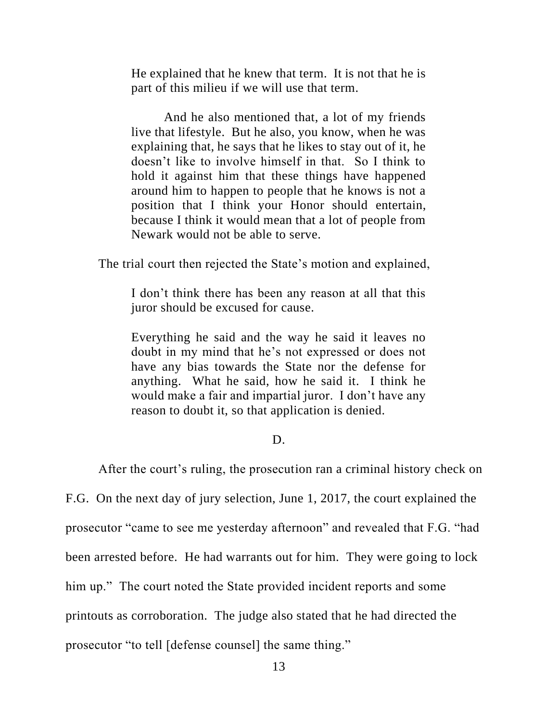He explained that he knew that term. It is not that he is part of this milieu if we will use that term.

And he also mentioned that, a lot of my friends live that lifestyle. But he also, you know, when he was explaining that, he says that he likes to stay out of it, he doesn't like to involve himself in that. So I think to hold it against him that these things have happened around him to happen to people that he knows is not a position that I think your Honor should entertain, because I think it would mean that a lot of people from Newark would not be able to serve.

The trial court then rejected the State's motion and explained,

I don't think there has been any reason at all that this juror should be excused for cause.

Everything he said and the way he said it leaves no doubt in my mind that he's not expressed or does not have any bias towards the State nor the defense for anything. What he said, how he said it. I think he would make a fair and impartial juror. I don't have any reason to doubt it, so that application is denied.

## D.

After the court's ruling, the prosecution ran a criminal history check on

F.G. On the next day of jury selection, June 1, 2017, the court explained the

prosecutor "came to see me yesterday afternoon" and revealed that F.G. "had

been arrested before. He had warrants out for him. They were going to lock

him up." The court noted the State provided incident reports and some

printouts as corroboration. The judge also stated that he had directed the

prosecutor "to tell [defense counsel] the same thing."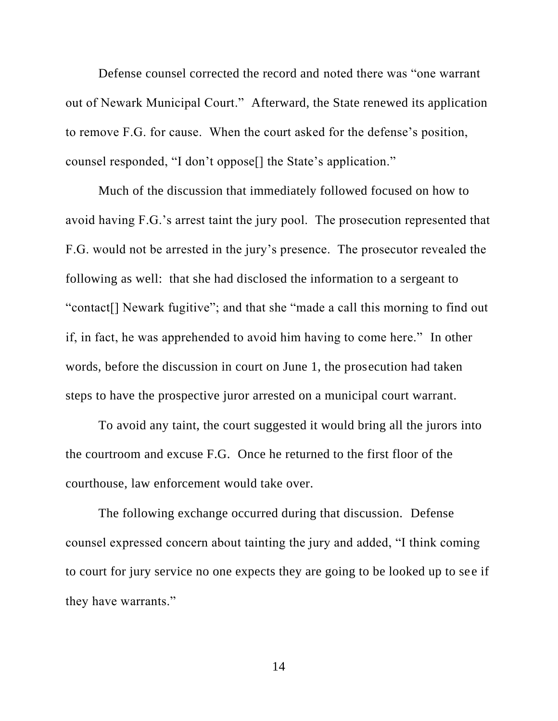Defense counsel corrected the record and noted there was "one warrant out of Newark Municipal Court." Afterward, the State renewed its application to remove F.G. for cause. When the court asked for the defense's position, counsel responded, "I don't oppose[] the State's application."

Much of the discussion that immediately followed focused on how to avoid having F.G.'s arrest taint the jury pool. The prosecution represented that F.G. would not be arrested in the jury's presence. The prosecutor revealed the following as well: that she had disclosed the information to a sergeant to "contact[] Newark fugitive"; and that she "made a call this morning to find out if, in fact, he was apprehended to avoid him having to come here." In other words, before the discussion in court on June 1, the prosecution had taken steps to have the prospective juror arrested on a municipal court warrant.

To avoid any taint, the court suggested it would bring all the jurors into the courtroom and excuse F.G. Once he returned to the first floor of the courthouse, law enforcement would take over.

The following exchange occurred during that discussion. Defense counsel expressed concern about tainting the jury and added, "I think coming to court for jury service no one expects they are going to be looked up to see if they have warrants."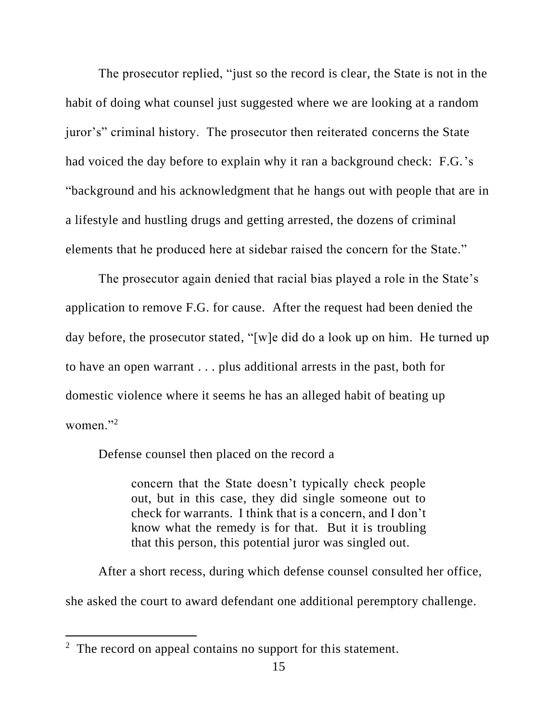The prosecutor replied, "just so the record is clear, the State is not in the habit of doing what counsel just suggested where we are looking at a random juror's" criminal history. The prosecutor then reiterated concerns the State had voiced the day before to explain why it ran a background check: F.G.'s "background and his acknowledgment that he hangs out with people that are in a lifestyle and hustling drugs and getting arrested, the dozens of criminal elements that he produced here at sidebar raised the concern for the State."

The prosecutor again denied that racial bias played a role in the State's application to remove F.G. for cause. After the request had been denied the day before, the prosecutor stated, "[w]e did do a look up on him. He turned up to have an open warrant . . . plus additional arrests in the past, both for domestic violence where it seems he has an alleged habit of beating up women."<sup>2</sup>

Defense counsel then placed on the record a

concern that the State doesn't typically check people out, but in this case, they did single someone out to check for warrants. I think that is a concern, and I don't know what the remedy is for that. But it is troubling that this person, this potential juror was singled out.

After a short recess, during which defense counsel consulted her office, she asked the court to award defendant one additional peremptory challenge.

 $2$  The record on appeal contains no support for this statement.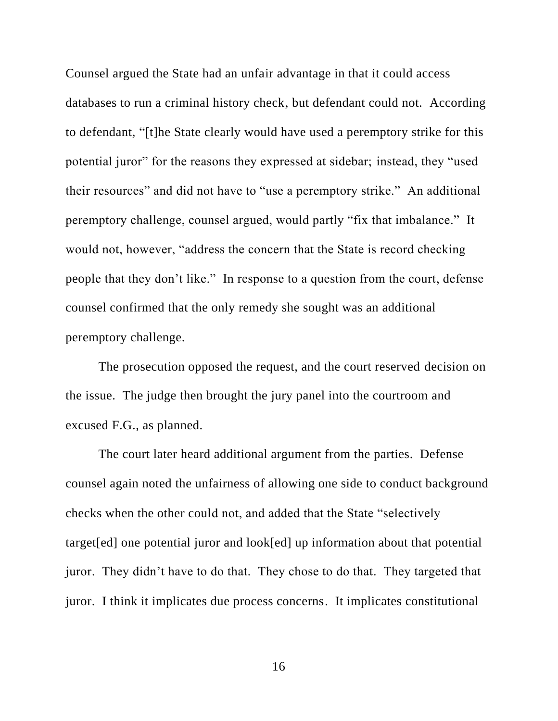Counsel argued the State had an unfair advantage in that it could access databases to run a criminal history check, but defendant could not. According to defendant, "[t]he State clearly would have used a peremptory strike for this potential juror" for the reasons they expressed at sidebar; instead, they "used their resources" and did not have to "use a peremptory strike." An additional peremptory challenge, counsel argued, would partly "fix that imbalance." It would not, however, "address the concern that the State is record checking people that they don't like." In response to a question from the court, defense counsel confirmed that the only remedy she sought was an additional peremptory challenge.

The prosecution opposed the request, and the court reserved decision on the issue. The judge then brought the jury panel into the courtroom and excused F.G., as planned.

The court later heard additional argument from the parties. Defense counsel again noted the unfairness of allowing one side to conduct background checks when the other could not, and added that the State "selectively target[ed] one potential juror and look[ed] up information about that potential juror. They didn't have to do that. They chose to do that. They targeted that juror. I think it implicates due process concerns. It implicates constitutional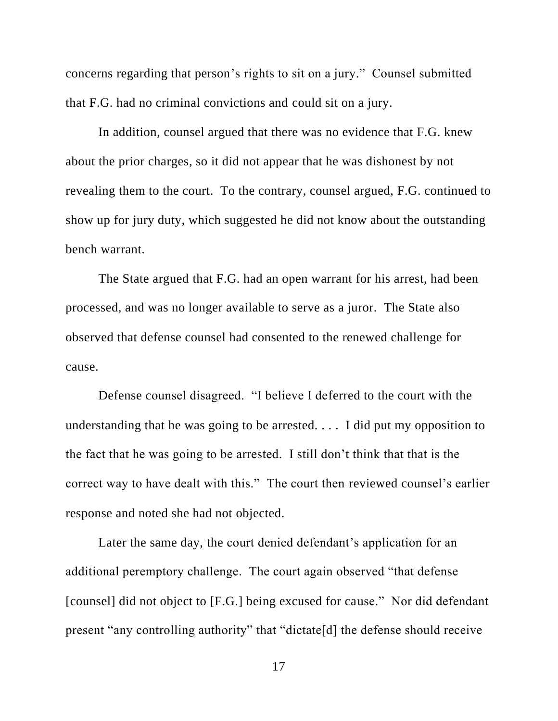concerns regarding that person's rights to sit on a jury." Counsel submitted that F.G. had no criminal convictions and could sit on a jury.

In addition, counsel argued that there was no evidence that F.G. knew about the prior charges, so it did not appear that he was dishonest by not revealing them to the court. To the contrary, counsel argued, F.G. continued to show up for jury duty, which suggested he did not know about the outstanding bench warrant.

The State argued that F.G. had an open warrant for his arrest, had been processed, and was no longer available to serve as a juror. The State also observed that defense counsel had consented to the renewed challenge for cause.

Defense counsel disagreed. "I believe I deferred to the court with the understanding that he was going to be arrested. . . . I did put my opposition to the fact that he was going to be arrested. I still don't think that that is the correct way to have dealt with this." The court then reviewed counsel's earlier response and noted she had not objected.

Later the same day, the court denied defendant's application for an additional peremptory challenge. The court again observed "that defense [counsel] did not object to [F.G.] being excused for cause." Nor did defendant present "any controlling authority" that "dictate[d] the defense should receive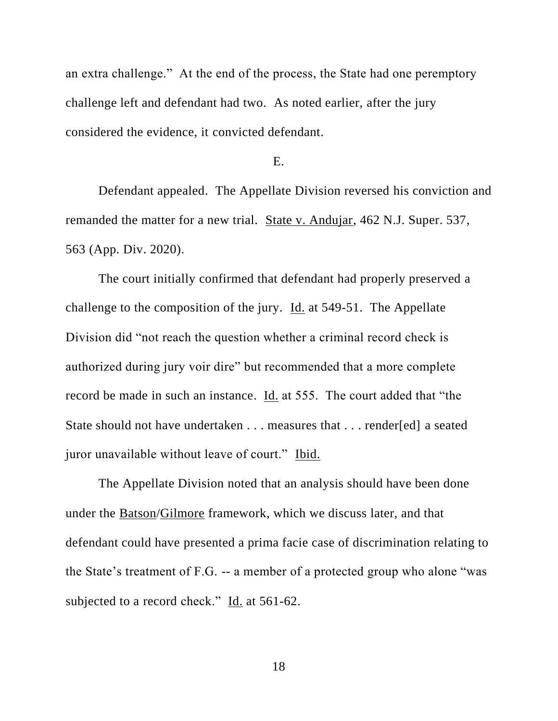an extra challenge." At the end of the process, the State had one peremptory challenge left and defendant had two. As noted earlier, after the jury considered the evidence, it convicted defendant.

E.

Defendant appealed. The Appellate Division reversed his conviction and remanded the matter for a new trial. State v. Andujar, 462 N.J. Super. 537, 563 (App. Div. 2020).

The court initially confirmed that defendant had properly preserved a challenge to the composition of the jury. Id. at 549-51. The Appellate Division did "not reach the question whether a criminal record check is authorized during jury voir dire" but recommended that a more complete record be made in such an instance. Id. at 555. The court added that "the State should not have undertaken . . . measures that . . . render[ed] a seated juror unavailable without leave of court." Ibid.

The Appellate Division noted that an analysis should have been done under the Batson/Gilmore framework, which we discuss later, and that defendant could have presented a prima facie case of discrimination relating to the State's treatment of F.G. -- a member of a protected group who alone "was subjected to a record check." Id. at 561-62.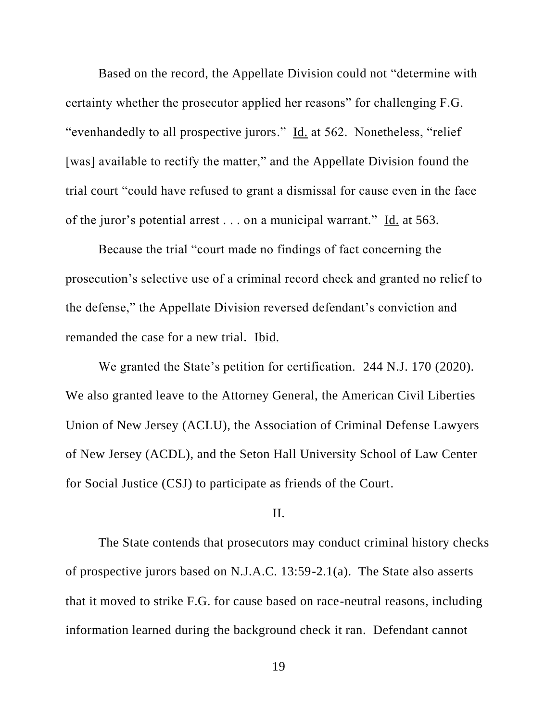Based on the record, the Appellate Division could not "determine with certainty whether the prosecutor applied her reasons" for challenging F.G. "evenhandedly to all prospective jurors." Id. at 562. Nonetheless, "relief [was] available to rectify the matter," and the Appellate Division found the trial court "could have refused to grant a dismissal for cause even in the face of the juror's potential arrest . . . on a municipal warrant." Id. at 563.

Because the trial "court made no findings of fact concerning the prosecution's selective use of a criminal record check and granted no relief to the defense," the Appellate Division reversed defendant's conviction and remanded the case for a new trial. Ibid.

We granted the State's petition for certification. 244 N.J. 170 (2020). We also granted leave to the Attorney General, the American Civil Liberties Union of New Jersey (ACLU), the Association of Criminal Defense Lawyers of New Jersey (ACDL), and the Seton Hall University School of Law Center for Social Justice (CSJ) to participate as friends of the Court.

# II.

The State contends that prosecutors may conduct criminal history checks of prospective jurors based on N.J.A.C. 13:59-2.1(a). The State also asserts that it moved to strike F.G. for cause based on race-neutral reasons, including information learned during the background check it ran. Defendant cannot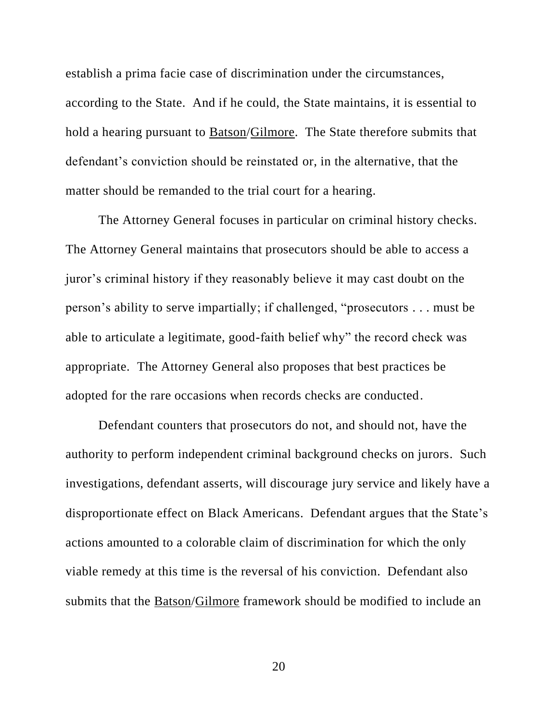establish a prima facie case of discrimination under the circumstances, according to the State. And if he could, the State maintains, it is essential to hold a hearing pursuant to Batson/Gilmore. The State therefore submits that defendant's conviction should be reinstated or, in the alternative, that the matter should be remanded to the trial court for a hearing.

The Attorney General focuses in particular on criminal history checks. The Attorney General maintains that prosecutors should be able to access a juror's criminal history if they reasonably believe it may cast doubt on the person's ability to serve impartially; if challenged, "prosecutors . . . must be able to articulate a legitimate, good-faith belief why" the record check was appropriate. The Attorney General also proposes that best practices be adopted for the rare occasions when records checks are conducted.

Defendant counters that prosecutors do not, and should not, have the authority to perform independent criminal background checks on jurors. Such investigations, defendant asserts, will discourage jury service and likely have a disproportionate effect on Black Americans. Defendant argues that the State's actions amounted to a colorable claim of discrimination for which the only viable remedy at this time is the reversal of his conviction. Defendant also submits that the Batson/Gilmore framework should be modified to include an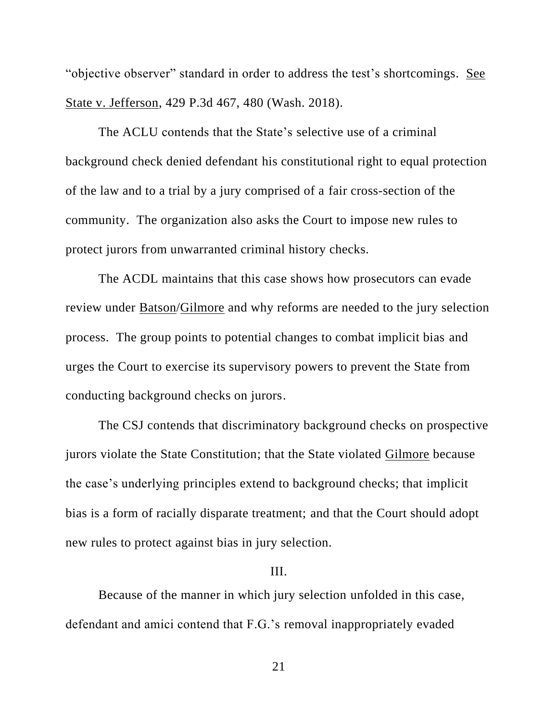"objective observer" standard in order to address the test's shortcomings. See State v. Jefferson, 429 P.3d 467, 480 (Wash. 2018).

The ACLU contends that the State's selective use of a criminal background check denied defendant his constitutional right to equal protection of the law and to a trial by a jury comprised of a fair cross-section of the community. The organization also asks the Court to impose new rules to protect jurors from unwarranted criminal history checks.

The ACDL maintains that this case shows how prosecutors can evade review under Batson/Gilmore and why reforms are needed to the jury selection process. The group points to potential changes to combat implicit bias and urges the Court to exercise its supervisory powers to prevent the State from conducting background checks on jurors.

The CSJ contends that discriminatory background checks on prospective jurors violate the State Constitution; that the State violated Gilmore because the case's underlying principles extend to background checks; that implicit bias is a form of racially disparate treatment; and that the Court should adopt new rules to protect against bias in jury selection.

## III.

Because of the manner in which jury selection unfolded in this case, defendant and amici contend that F.G.'s removal inappropriately evaded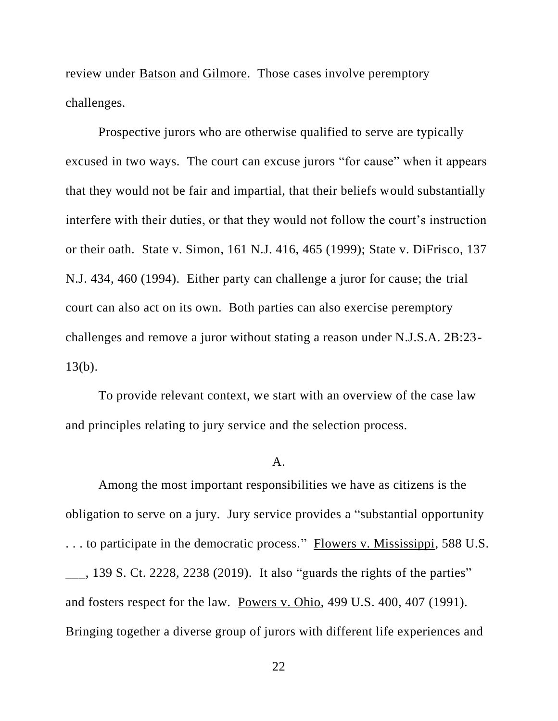review under Batson and Gilmore. Those cases involve peremptory challenges.

Prospective jurors who are otherwise qualified to serve are typically excused in two ways. The court can excuse jurors "for cause" when it appears that they would not be fair and impartial, that their beliefs would substantially interfere with their duties, or that they would not follow the court's instruction or their oath. State v. Simon, 161 N.J. 416, 465 (1999); State v. DiFrisco, 137 N.J. 434, 460 (1994). Either party can challenge a juror for cause; the trial court can also act on its own. Both parties can also exercise peremptory challenges and remove a juror without stating a reason under N.J.S.A. 2B:23- 13(b).

To provide relevant context, we start with an overview of the case law and principles relating to jury service and the selection process.

## $\mathbf{A}$ .

Among the most important responsibilities we have as citizens is the obligation to serve on a jury. Jury service provides a "substantial opportunity . . . to participate in the democratic process." Flowers v. Mississippi, 588 U.S.  $\_\_$ , 139 S. Ct. 2228, 2238 (2019). It also "guards the rights of the parties" and fosters respect for the law. Powers v. Ohio, 499 U.S. 400, 407 (1991). Bringing together a diverse group of jurors with different life experiences and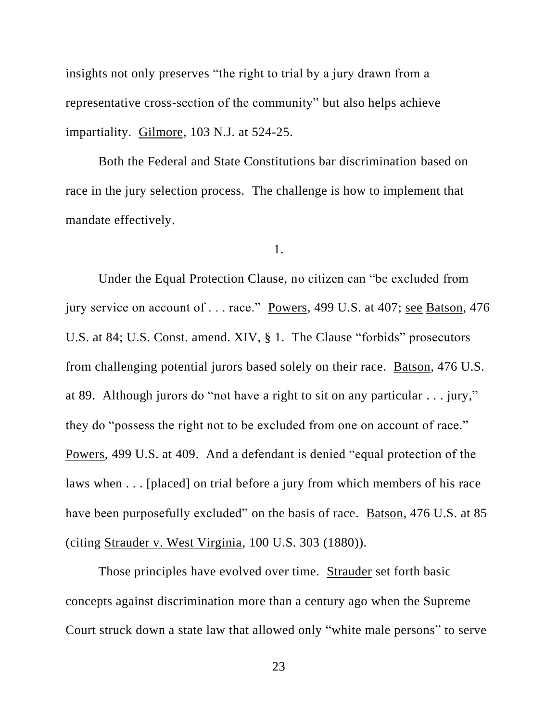insights not only preserves "the right to trial by a jury drawn from a representative cross-section of the community" but also helps achieve impartiality. Gilmore, 103 N.J. at 524-25.

Both the Federal and State Constitutions bar discrimination based on race in the jury selection process. The challenge is how to implement that mandate effectively.

1.

Under the Equal Protection Clause, no citizen can "be excluded from jury service on account of . . . race." Powers, 499 U.S. at 407; see Batson, 476 U.S. at 84; U.S. Const. amend. XIV, § 1. The Clause "forbids" prosecutors from challenging potential jurors based solely on their race. Batson, 476 U.S. at 89. Although jurors do "not have a right to sit on any particular . . . jury," they do "possess the right not to be excluded from one on account of race." Powers, 499 U.S. at 409. And a defendant is denied "equal protection of the laws when . . . [placed] on trial before a jury from which members of his race have been purposefully excluded" on the basis of race. Batson, 476 U.S. at 85 (citing Strauder v. West Virginia, 100 U.S. 303 (1880)).

Those principles have evolved over time. Strauder set forth basic concepts against discrimination more than a century ago when the Supreme Court struck down a state law that allowed only "white male persons" to serve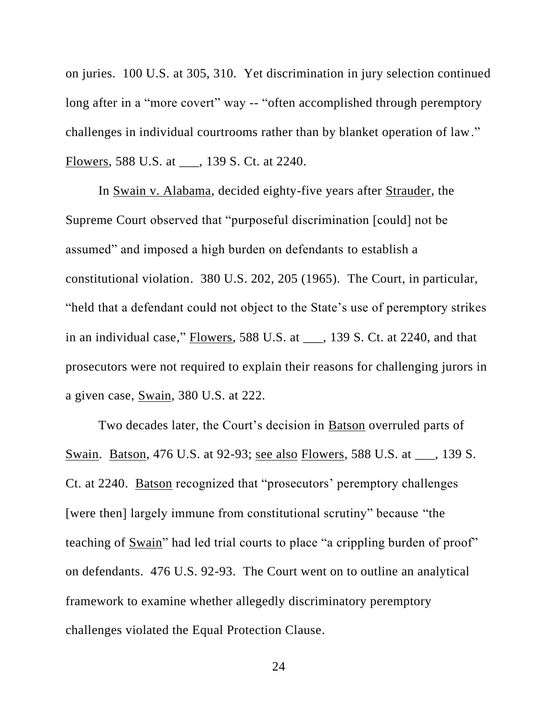on juries. 100 U.S. at 305, 310. Yet discrimination in jury selection continued long after in a "more covert" way -- "often accomplished through peremptory challenges in individual courtrooms rather than by blanket operation of law." Flowers, 588 U.S. at \_\_\_, 139 S. Ct. at 2240.

In Swain v. Alabama, decided eighty-five years after Strauder, the Supreme Court observed that "purposeful discrimination [could] not be assumed" and imposed a high burden on defendants to establish a constitutional violation. 380 U.S. 202, 205 (1965). The Court, in particular, "held that a defendant could not object to the State's use of peremptory strikes in an individual case," Flowers, 588 U.S. at \_\_\_, 139 S. Ct. at 2240, and that prosecutors were not required to explain their reasons for challenging jurors in a given case, Swain, 380 U.S. at 222.

Two decades later, the Court's decision in Batson overruled parts of Swain. Batson, 476 U.S. at 92-93; see also Flowers, 588 U.S. at \_\_\_, 139 S. Ct. at 2240. Batson recognized that "prosecutors' peremptory challenges [were then] largely immune from constitutional scrutiny" because "the teaching of Swain" had led trial courts to place "a crippling burden of proof" on defendants. 476 U.S. 92-93. The Court went on to outline an analytical framework to examine whether allegedly discriminatory peremptory challenges violated the Equal Protection Clause.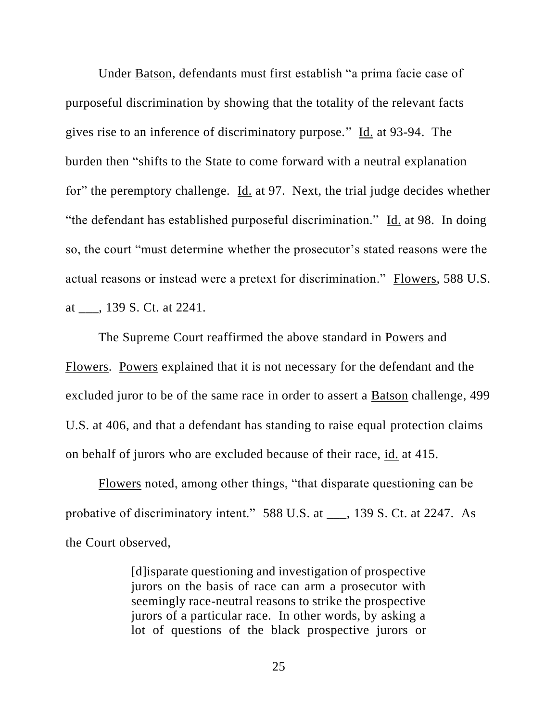Under Batson, defendants must first establish "a prima facie case of purposeful discrimination by showing that the totality of the relevant facts gives rise to an inference of discriminatory purpose." Id. at 93-94. The burden then "shifts to the State to come forward with a neutral explanation for" the peremptory challenge. Id. at 97. Next, the trial judge decides whether "the defendant has established purposeful discrimination." Id. at 98. In doing so, the court "must determine whether the prosecutor's stated reasons were the actual reasons or instead were a pretext for discrimination." Flowers, 588 U.S. at \_\_\_, 139 S. Ct. at 2241.

The Supreme Court reaffirmed the above standard in Powers and Flowers. Powers explained that it is not necessary for the defendant and the excluded juror to be of the same race in order to assert a Batson challenge, 499 U.S. at 406, and that a defendant has standing to raise equal protection claims on behalf of jurors who are excluded because of their race, id. at 415.

Flowers noted, among other things, "that disparate questioning can be probative of discriminatory intent." 588 U.S. at \_\_\_, 139 S. Ct. at 2247. As the Court observed,

> [d]isparate questioning and investigation of prospective jurors on the basis of race can arm a prosecutor with seemingly race-neutral reasons to strike the prospective jurors of a particular race. In other words, by asking a lot of questions of the black prospective jurors or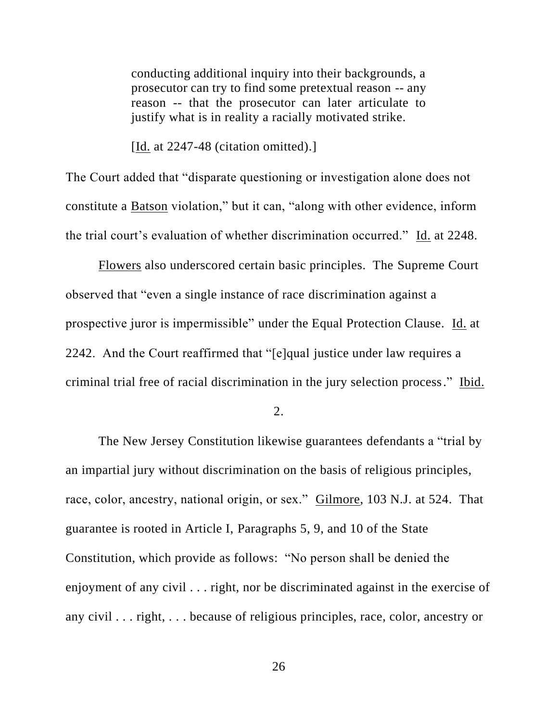conducting additional inquiry into their backgrounds, a prosecutor can try to find some pretextual reason -- any reason -- that the prosecutor can later articulate to justify what is in reality a racially motivated strike.

[Id. at 2247-48 (citation omitted).]

The Court added that "disparate questioning or investigation alone does not constitute a Batson violation," but it can, "along with other evidence, inform the trial court's evaluation of whether discrimination occurred." Id. at 2248.

Flowers also underscored certain basic principles. The Supreme Court observed that "even a single instance of race discrimination against a prospective juror is impermissible" under the Equal Protection Clause. Id. at 2242. And the Court reaffirmed that "[e]qual justice under law requires a criminal trial free of racial discrimination in the jury selection process." Ibid.

2.

The New Jersey Constitution likewise guarantees defendants a "trial by an impartial jury without discrimination on the basis of religious principles, race, color, ancestry, national origin, or sex." Gilmore, 103 N.J. at 524. That guarantee is rooted in Article I, Paragraphs 5, 9, and 10 of the State Constitution, which provide as follows: "No person shall be denied the enjoyment of any civil . . . right, nor be discriminated against in the exercise of any civil . . . right, . . . because of religious principles, race, color, ancestry or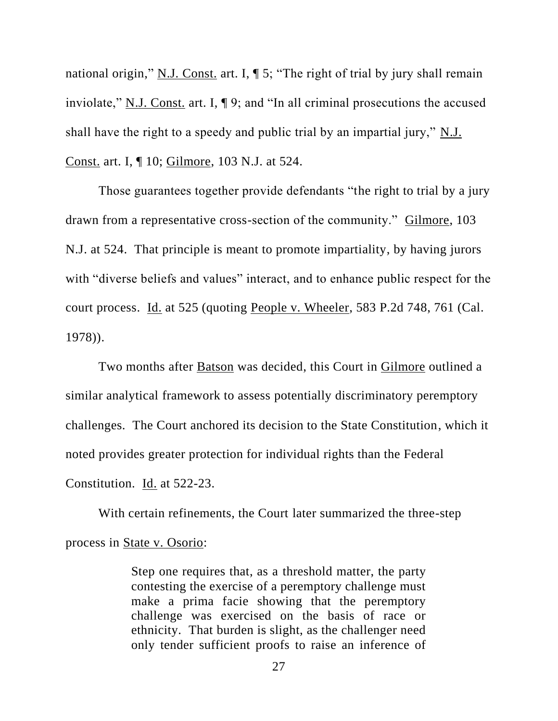national origin," N.J. Const. art. I,  $\P$  5; "The right of trial by jury shall remain inviolate," N.J. Const. art. I, ¶ 9; and "In all criminal prosecutions the accused shall have the right to a speedy and public trial by an impartial jury," N.J. Const. art. I, ¶ 10; Gilmore, 103 N.J. at 524.

Those guarantees together provide defendants "the right to trial by a jury drawn from a representative cross-section of the community." Gilmore, 103 N.J. at 524. That principle is meant to promote impartiality, by having jurors with "diverse beliefs and values" interact, and to enhance public respect for the court process. Id. at 525 (quoting People v. Wheeler, 583 P.2d 748, 761 (Cal. 1978)).

Two months after Batson was decided, this Court in Gilmore outlined a similar analytical framework to assess potentially discriminatory peremptory challenges. The Court anchored its decision to the State Constitution, which it noted provides greater protection for individual rights than the Federal Constitution. Id. at 522-23.

With certain refinements, the Court later summarized the three-step process in State v. Osorio:

> Step one requires that, as a threshold matter, the party contesting the exercise of a peremptory challenge must make a prima facie showing that the peremptory challenge was exercised on the basis of race or ethnicity. That burden is slight, as the challenger need only tender sufficient proofs to raise an inference of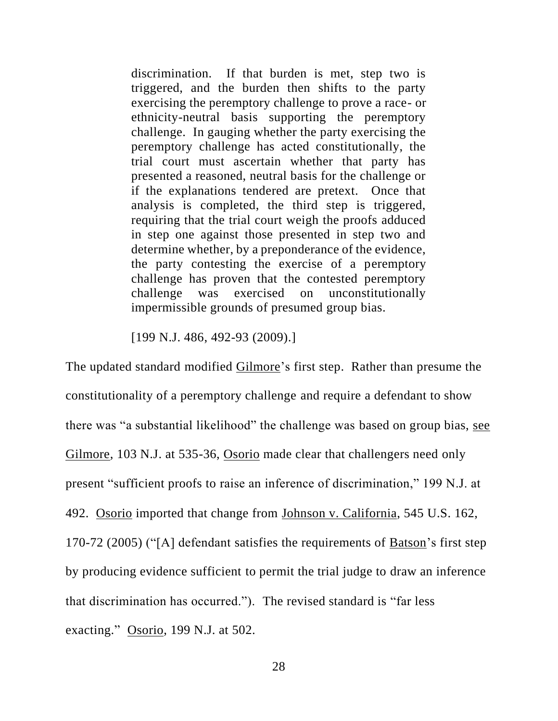discrimination. If that burden is met, step two is triggered, and the burden then shifts to the party exercising the peremptory challenge to prove a race- or ethnicity-neutral basis supporting the peremptory challenge. In gauging whether the party exercising the peremptory challenge has acted constitutionally, the trial court must ascertain whether that party has presented a reasoned, neutral basis for the challenge or if the explanations tendered are pretext. Once that analysis is completed, the third step is triggered, requiring that the trial court weigh the proofs adduced in step one against those presented in step two and determine whether, by a preponderance of the evidence, the party contesting the exercise of a peremptory challenge has proven that the contested peremptory challenge was exercised on unconstitutionally impermissible grounds of presumed group bias.

[199 N.J. 486, 492-93 (2009).]

The updated standard modified Gilmore's first step. Rather than presume the constitutionality of a peremptory challenge and require a defendant to show there was "a substantial likelihood" the challenge was based on group bias, see Gilmore, 103 N.J. at 535-36, Osorio made clear that challengers need only present "sufficient proofs to raise an inference of discrimination," 199 N.J. at 492. Osorio imported that change from Johnson v. California, 545 U.S. 162, 170-72 (2005) ("[A] defendant satisfies the requirements of Batson's first step by producing evidence sufficient to permit the trial judge to draw an inference that discrimination has occurred."). The revised standard is "far less exacting." Osorio, 199 N.J. at 502.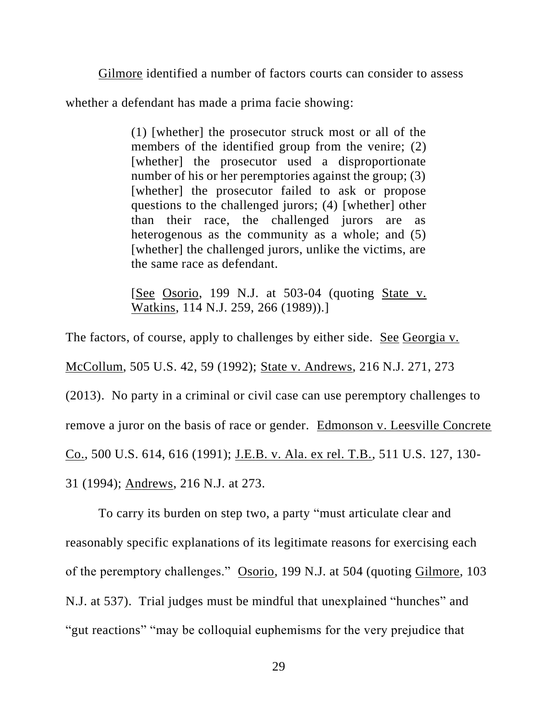Gilmore identified a number of factors courts can consider to assess

whether a defendant has made a prima facie showing:

(1) [whether] the prosecutor struck most or all of the members of the identified group from the venire; (2) [whether] the prosecutor used a disproportionate number of his or her peremptories against the group; (3) [whether] the prosecutor failed to ask or propose questions to the challenged jurors; (4) [whether] other than their race, the challenged jurors are as heterogenous as the community as a whole; and (5) [whether] the challenged jurors, unlike the victims, are the same race as defendant.

[See Osorio, 199 N.J. at 503-04 (quoting State v. Watkins, 114 N.J. 259, 266 (1989)).]

The factors, of course, apply to challenges by either side. See Georgia v. McCollum, 505 U.S. 42, 59 (1992); State v. Andrews, 216 N.J. 271, 273 (2013). No party in a criminal or civil case can use peremptory challenges to remove a juror on the basis of race or gender. Edmonson v. Leesville Concrete Co., 500 U.S. 614, 616 (1991); J.E.B. v. Ala. ex rel. T.B., 511 U.S. 127, 130- 31 (1994); Andrews, 216 N.J. at 273.

To carry its burden on step two, a party "must articulate clear and reasonably specific explanations of its legitimate reasons for exercising each of the peremptory challenges." Osorio, 199 N.J. at 504 (quoting Gilmore, 103 N.J. at 537). Trial judges must be mindful that unexplained "hunches" and "gut reactions" "may be colloquial euphemisms for the very prejudice that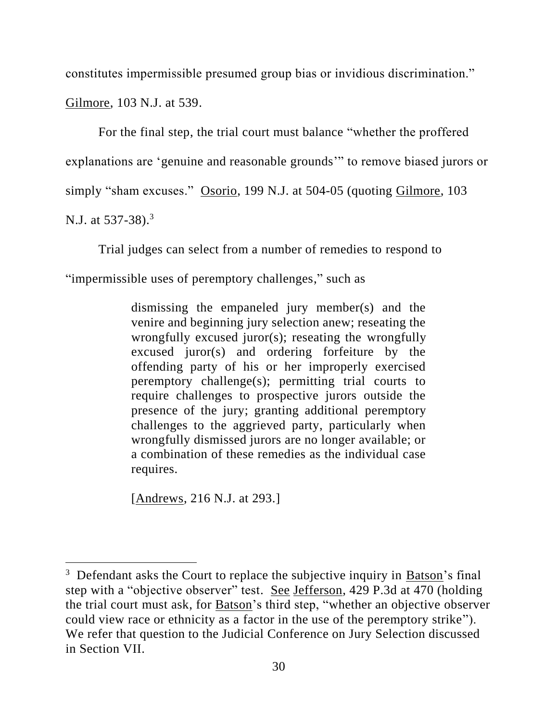constitutes impermissible presumed group bias or invidious discrimination."

Gilmore, 103 N.J. at 539.

For the final step, the trial court must balance "whether the proffered explanations are 'genuine and reasonable grounds'" to remove biased jurors or simply "sham excuses." Osorio, 199 N.J. at 504-05 (quoting Gilmore, 103 N.J. at 537-38).<sup>3</sup>

Trial judges can select from a number of remedies to respond to "impermissible uses of peremptory challenges," such as

> dismissing the empaneled jury member(s) and the venire and beginning jury selection anew; reseating the wrongfully excused juror(s); reseating the wrongfully excused juror(s) and ordering forfeiture by the offending party of his or her improperly exercised peremptory challenge(s); permitting trial courts to require challenges to prospective jurors outside the presence of the jury; granting additional peremptory challenges to the aggrieved party, particularly when wrongfully dismissed jurors are no longer available; or a combination of these remedies as the individual case requires.

[Andrews, 216 N.J. at 293.]

<sup>&</sup>lt;sup>3</sup> Defendant asks the Court to replace the subjective inquiry in **Batson**'s final step with a "objective observer" test. See Jefferson, 429 P.3d at 470 (holding the trial court must ask, for Batson's third step, "whether an objective observer could view race or ethnicity as a factor in the use of the peremptory strike"). We refer that question to the Judicial Conference on Jury Selection discussed in Section VII.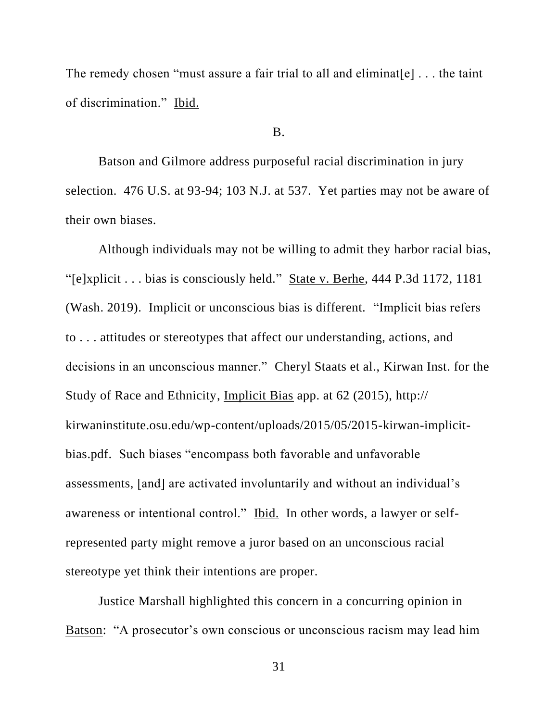The remedy chosen "must assure a fair trial to all and eliminat  $[e]$ ... the taint of discrimination." Ibid.

#### B.

Batson and Gilmore address purposeful racial discrimination in jury selection. 476 U.S. at 93-94; 103 N.J. at 537. Yet parties may not be aware of their own biases.

Although individuals may not be willing to admit they harbor racial bias, "[e]xplicit . . . bias is consciously held." State v. Berhe, 444 P.3d 1172, 1181 (Wash. 2019). Implicit or unconscious bias is different. "Implicit bias refers to . . . attitudes or stereotypes that affect our understanding, actions, and decisions in an unconscious manner." Cheryl Staats et al., Kirwan Inst. for the Study of Race and Ethnicity, Implicit Bias app. at 62 (2015), http:// kirwaninstitute.osu.edu/wp-content/uploads/2015/05/2015-kirwan-implicitbias.pdf. Such biases "encompass both favorable and unfavorable assessments, [and] are activated involuntarily and without an individual's awareness or intentional control." Ibid. In other words, a lawyer or selfrepresented party might remove a juror based on an unconscious racial stereotype yet think their intentions are proper.

Justice Marshall highlighted this concern in a concurring opinion in Batson: "A prosecutor's own conscious or unconscious racism may lead him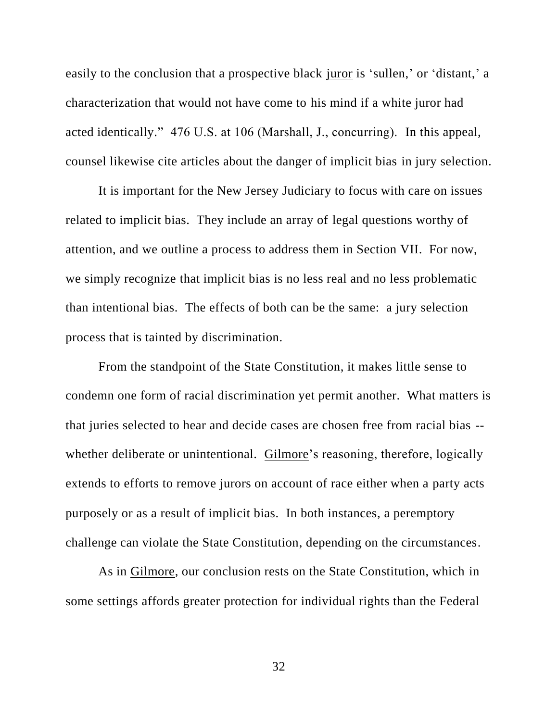easily to the conclusion that a prospective black juror is 'sullen,' or 'distant,' a characterization that would not have come to his mind if a white juror had acted identically." 476 U.S. at 106 (Marshall, J., concurring). In this appeal, counsel likewise cite articles about the danger of implicit bias in jury selection.

It is important for the New Jersey Judiciary to focus with care on issues related to implicit bias. They include an array of legal questions worthy of attention, and we outline a process to address them in Section VII. For now, we simply recognize that implicit bias is no less real and no less problematic than intentional bias. The effects of both can be the same: a jury selection process that is tainted by discrimination.

From the standpoint of the State Constitution, it makes little sense to condemn one form of racial discrimination yet permit another. What matters is that juries selected to hear and decide cases are chosen free from racial bias - whether deliberate or unintentional. Gilmore's reasoning, therefore, logically extends to efforts to remove jurors on account of race either when a party acts purposely or as a result of implicit bias. In both instances, a peremptory challenge can violate the State Constitution, depending on the circumstances.

As in Gilmore, our conclusion rests on the State Constitution, which in some settings affords greater protection for individual rights than the Federal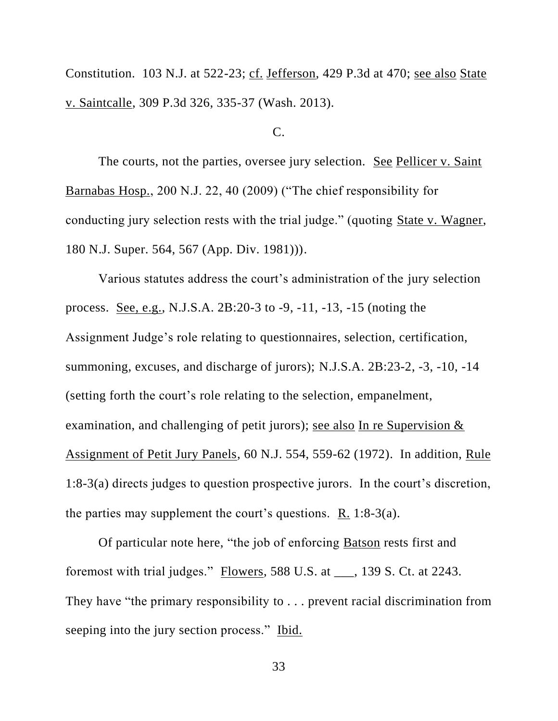Constitution. 103 N.J. at 522-23; cf. Jefferson, 429 P.3d at 470; see also State v. Saintcalle, 309 P.3d 326, 335-37 (Wash. 2013).

#### $C_{\cdot}$

The courts, not the parties, oversee jury selection. See Pellicer v. Saint Barnabas Hosp., 200 N.J. 22, 40 (2009) ("The chief responsibility for conducting jury selection rests with the trial judge." (quoting State v. Wagner, 180 N.J. Super. 564, 567 (App. Div. 1981))).

Various statutes address the court's administration of the jury selection process. See, e.g., N.J.S.A. 2B:20-3 to -9, -11, -13, -15 (noting the Assignment Judge's role relating to questionnaires, selection, certification, summoning, excuses, and discharge of jurors); N.J.S.A. 2B:23-2, -3, -10, -14 (setting forth the court's role relating to the selection, empanelment, examination, and challenging of petit jurors); see also In re Supervision & Assignment of Petit Jury Panels, 60 N.J. 554, 559-62 (1972). In addition, Rule 1:8-3(a) directs judges to question prospective jurors. In the court's discretion, the parties may supplement the court's questions. R. 1:8-3(a).

Of particular note here, "the job of enforcing Batson rests first and foremost with trial judges." Flowers, 588 U.S. at \_\_\_, 139 S. Ct. at 2243. They have "the primary responsibility to . . . prevent racial discrimination from seeping into the jury section process." Ibid.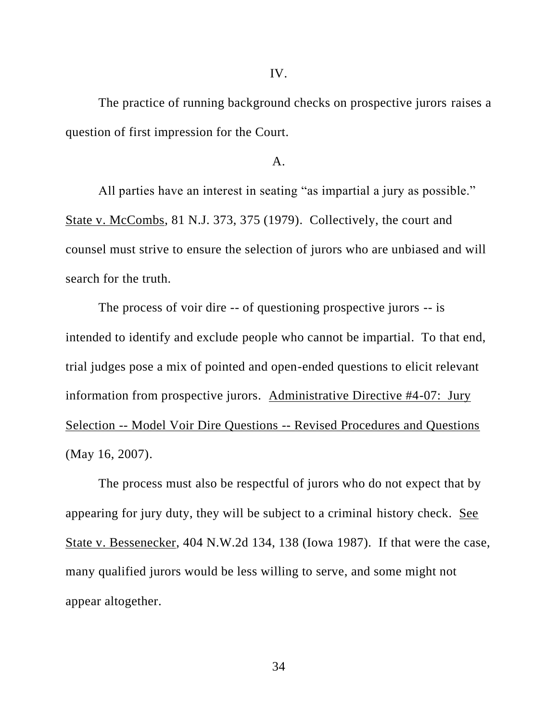IV.

The practice of running background checks on prospective jurors raises a question of first impression for the Court.

## $\mathbf{A}$ .

All parties have an interest in seating "as impartial a jury as possible." State v. McCombs, 81 N.J. 373, 375 (1979). Collectively, the court and counsel must strive to ensure the selection of jurors who are unbiased and will search for the truth.

The process of voir dire -- of questioning prospective jurors -- is intended to identify and exclude people who cannot be impartial. To that end, trial judges pose a mix of pointed and open-ended questions to elicit relevant information from prospective jurors. Administrative Directive #4-07: Jury Selection -- Model Voir Dire Questions -- Revised Procedures and Questions (May 16, 2007).

The process must also be respectful of jurors who do not expect that by appearing for jury duty, they will be subject to a criminal history check. See State v. Bessenecker, 404 N.W.2d 134, 138 (Iowa 1987). If that were the case, many qualified jurors would be less willing to serve, and some might not appear altogether.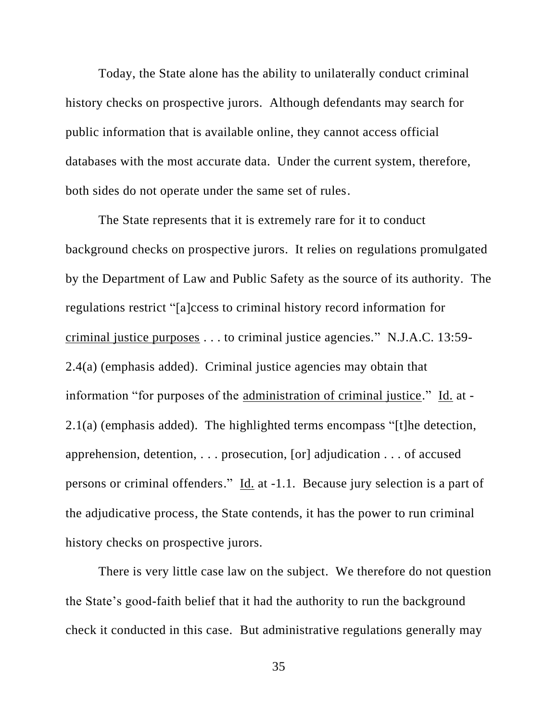Today, the State alone has the ability to unilaterally conduct criminal history checks on prospective jurors. Although defendants may search for public information that is available online, they cannot access official databases with the most accurate data. Under the current system, therefore, both sides do not operate under the same set of rules.

The State represents that it is extremely rare for it to conduct background checks on prospective jurors. It relies on regulations promulgated by the Department of Law and Public Safety as the source of its authority. The regulations restrict "[a]ccess to criminal history record information for criminal justice purposes . . . to criminal justice agencies." N.J.A.C. 13:59- 2.4(a) (emphasis added). Criminal justice agencies may obtain that information "for purposes of the administration of criminal justice." Id. at - 2.1(a) (emphasis added). The highlighted terms encompass "[t]he detection, apprehension, detention, . . . prosecution, [or] adjudication . . . of accused persons or criminal offenders." Id. at -1.1. Because jury selection is a part of the adjudicative process, the State contends, it has the power to run criminal history checks on prospective jurors.

There is very little case law on the subject. We therefore do not question the State's good-faith belief that it had the authority to run the background check it conducted in this case. But administrative regulations generally may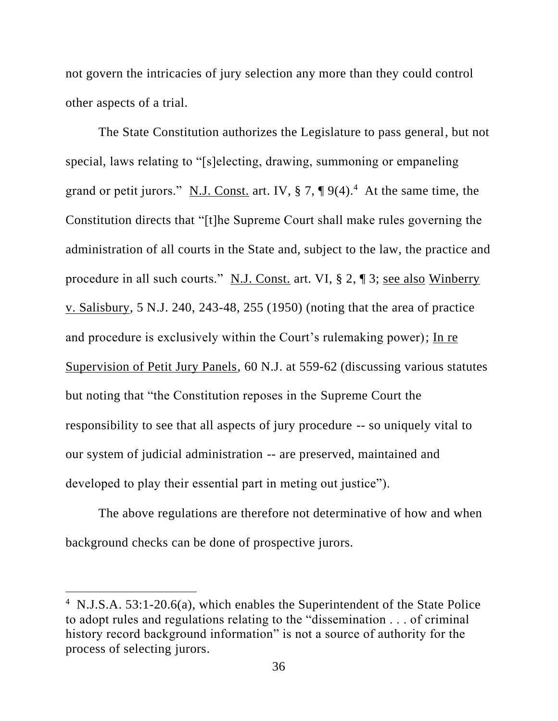not govern the intricacies of jury selection any more than they could control other aspects of a trial.

The State Constitution authorizes the Legislature to pass general, but not special, laws relating to "[s]electing, drawing, summoning or empaneling grand or petit jurors." N.J. Const. art. IV,  $\S 7$ ,  $\P 9(4)$ .<sup>4</sup> At the same time, the Constitution directs that "[t]he Supreme Court shall make rules governing the administration of all courts in the State and, subject to the law, the practice and procedure in all such courts." N.J. Const. art. VI, § 2, ¶ 3; see also Winberry v. Salisbury, 5 N.J. 240, 243-48, 255 (1950) (noting that the area of practice and procedure is exclusively within the Court's rulemaking power); In re Supervision of Petit Jury Panels, 60 N.J. at 559-62 (discussing various statutes but noting that "the Constitution reposes in the Supreme Court the responsibility to see that all aspects of jury procedure -- so uniquely vital to our system of judicial administration -- are preserved, maintained and developed to play their essential part in meting out justice").

The above regulations are therefore not determinative of how and when background checks can be done of prospective jurors.

<sup>&</sup>lt;sup>4</sup> N.J.S.A. 53:1-20.6(a), which enables the Superintendent of the State Police to adopt rules and regulations relating to the "dissemination . . . of criminal history record background information" is not a source of authority for the process of selecting jurors.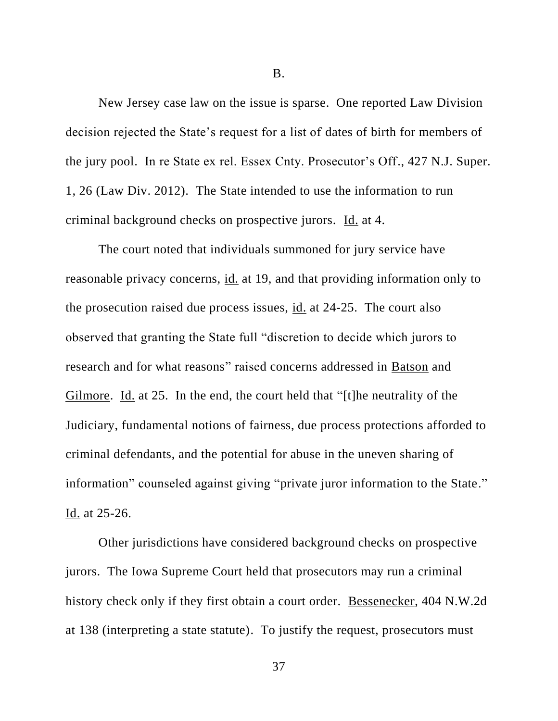B.

New Jersey case law on the issue is sparse. One reported Law Division decision rejected the State's request for a list of dates of birth for members of the jury pool. In re State ex rel. Essex Cnty. Prosecutor's Off., 427 N.J. Super. 1, 26 (Law Div. 2012). The State intended to use the information to run criminal background checks on prospective jurors. Id. at 4.

The court noted that individuals summoned for jury service have reasonable privacy concerns, id. at 19, and that providing information only to the prosecution raised due process issues, id. at 24-25. The court also observed that granting the State full "discretion to decide which jurors to research and for what reasons" raised concerns addressed in Batson and Gilmore. Id. at 25. In the end, the court held that "[t]he neutrality of the Judiciary, fundamental notions of fairness, due process protections afforded to criminal defendants, and the potential for abuse in the uneven sharing of information" counseled against giving "private juror information to the State." Id. at 25-26.

Other jurisdictions have considered background checks on prospective jurors. The Iowa Supreme Court held that prosecutors may run a criminal history check only if they first obtain a court order. Bessenecker, 404 N.W.2d at 138 (interpreting a state statute). To justify the request, prosecutors must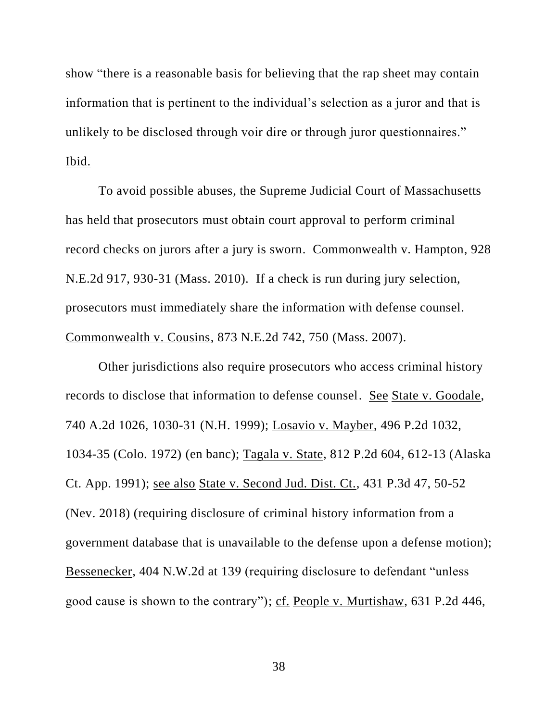show "there is a reasonable basis for believing that the rap sheet may contain information that is pertinent to the individual's selection as a juror and that is unlikely to be disclosed through voir dire or through juror questionnaires." Ibid.

To avoid possible abuses, the Supreme Judicial Court of Massachusetts has held that prosecutors must obtain court approval to perform criminal record checks on jurors after a jury is sworn. Commonwealth v. Hampton, 928 N.E.2d 917, 930-31 (Mass. 2010). If a check is run during jury selection, prosecutors must immediately share the information with defense counsel. Commonwealth v. Cousins, 873 N.E.2d 742, 750 (Mass. 2007).

Other jurisdictions also require prosecutors who access criminal history records to disclose that information to defense counsel. See State v. Goodale, 740 A.2d 1026, 1030-31 (N.H. 1999); Losavio v. Mayber, 496 P.2d 1032, 1034-35 (Colo. 1972) (en banc); Tagala v. State, 812 P.2d 604, 612-13 (Alaska Ct. App. 1991); see also State v. Second Jud. Dist. Ct., 431 P.3d 47, 50-52 (Nev. 2018) (requiring disclosure of criminal history information from a government database that is unavailable to the defense upon a defense motion); Bessenecker, 404 N.W.2d at 139 (requiring disclosure to defendant "unless good cause is shown to the contrary"); cf. People v. Murtishaw, 631 P.2d 446,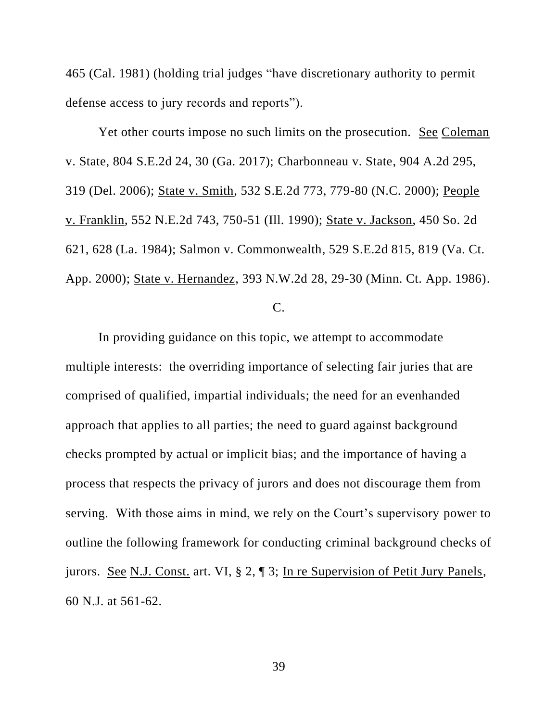465 (Cal. 1981) (holding trial judges "have discretionary authority to permit defense access to jury records and reports").

Yet other courts impose no such limits on the prosecution. See Coleman v. State, 804 S.E.2d 24, 30 (Ga. 2017); Charbonneau v. State, 904 A.2d 295, 319 (Del. 2006); State v. Smith, 532 S.E.2d 773, 779-80 (N.C. 2000); People v. Franklin, 552 N.E.2d 743, 750-51 (Ill. 1990); State v. Jackson, 450 So. 2d 621, 628 (La. 1984); Salmon v. Commonwealth, 529 S.E.2d 815, 819 (Va. Ct. App. 2000); State v. Hernandez, 393 N.W.2d 28, 29-30 (Minn. Ct. App. 1986). C.

In providing guidance on this topic, we attempt to accommodate multiple interests: the overriding importance of selecting fair juries that are comprised of qualified, impartial individuals; the need for an evenhanded approach that applies to all parties; the need to guard against background checks prompted by actual or implicit bias; and the importance of having a process that respects the privacy of jurors and does not discourage them from serving. With those aims in mind, we rely on the Court's supervisory power to outline the following framework for conducting criminal background checks of jurors. See N.J. Const. art. VI, § 2, ¶ 3; In re Supervision of Petit Jury Panels, 60 N.J. at 561-62.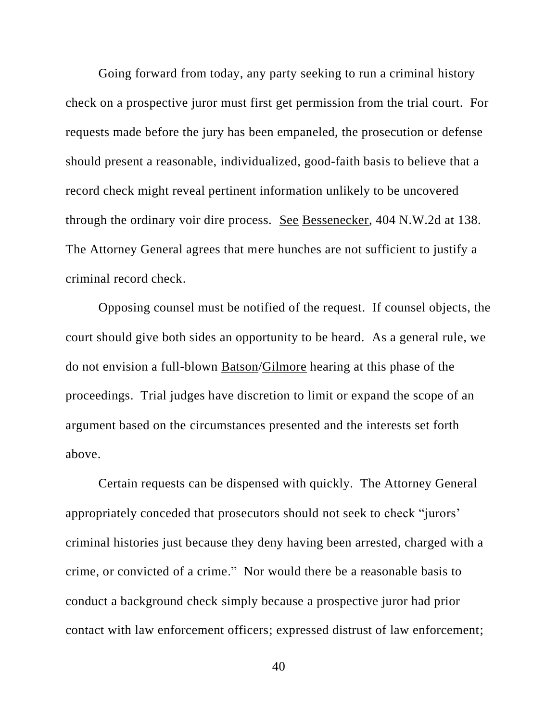Going forward from today, any party seeking to run a criminal history check on a prospective juror must first get permission from the trial court. For requests made before the jury has been empaneled, the prosecution or defense should present a reasonable, individualized, good-faith basis to believe that a record check might reveal pertinent information unlikely to be uncovered through the ordinary voir dire process. See Bessenecker, 404 N.W.2d at 138. The Attorney General agrees that mere hunches are not sufficient to justify a criminal record check.

Opposing counsel must be notified of the request. If counsel objects, the court should give both sides an opportunity to be heard. As a general rule, we do not envision a full-blown Batson/Gilmore hearing at this phase of the proceedings. Trial judges have discretion to limit or expand the scope of an argument based on the circumstances presented and the interests set forth above.

Certain requests can be dispensed with quickly. The Attorney General appropriately conceded that prosecutors should not seek to check "jurors' criminal histories just because they deny having been arrested, charged with a crime, or convicted of a crime." Nor would there be a reasonable basis to conduct a background check simply because a prospective juror had prior contact with law enforcement officers; expressed distrust of law enforcement;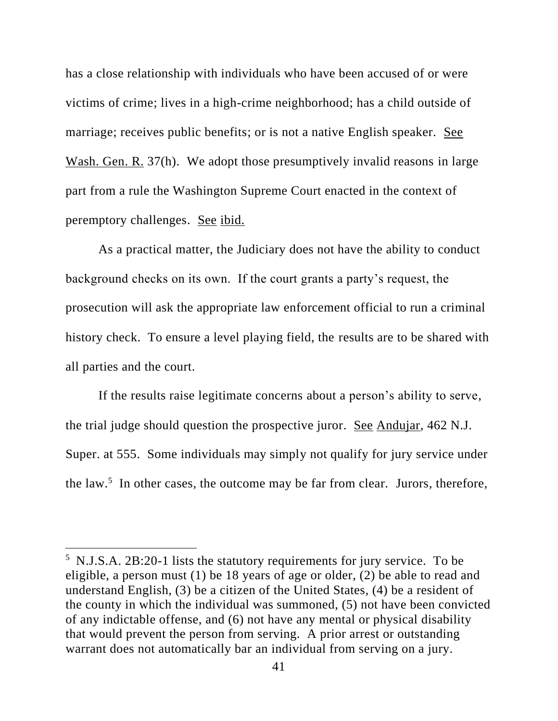has a close relationship with individuals who have been accused of or were victims of crime; lives in a high-crime neighborhood; has a child outside of marriage; receives public benefits; or is not a native English speaker. See Wash. Gen. R. 37(h). We adopt those presumptively invalid reasons in large part from a rule the Washington Supreme Court enacted in the context of peremptory challenges. See ibid.

As a practical matter, the Judiciary does not have the ability to conduct background checks on its own. If the court grants a party's request, the prosecution will ask the appropriate law enforcement official to run a criminal history check. To ensure a level playing field, the results are to be shared with all parties and the court.

If the results raise legitimate concerns about a person's ability to serve, the trial judge should question the prospective juror. See Andujar, 462 N.J. Super. at 555. Some individuals may simply not qualify for jury service under the law.<sup>5</sup> In other cases, the outcome may be far from clear. Jurors, therefore,

<sup>5</sup> N.J.S.A. 2B:20-1 lists the statutory requirements for jury service. To be eligible, a person must (1) be 18 years of age or older, (2) be able to read and understand English, (3) be a citizen of the United States, (4) be a resident of the county in which the individual was summoned, (5) not have been convicted of any indictable offense, and (6) not have any mental or physical disability that would prevent the person from serving. A prior arrest or outstanding warrant does not automatically bar an individual from serving on a jury.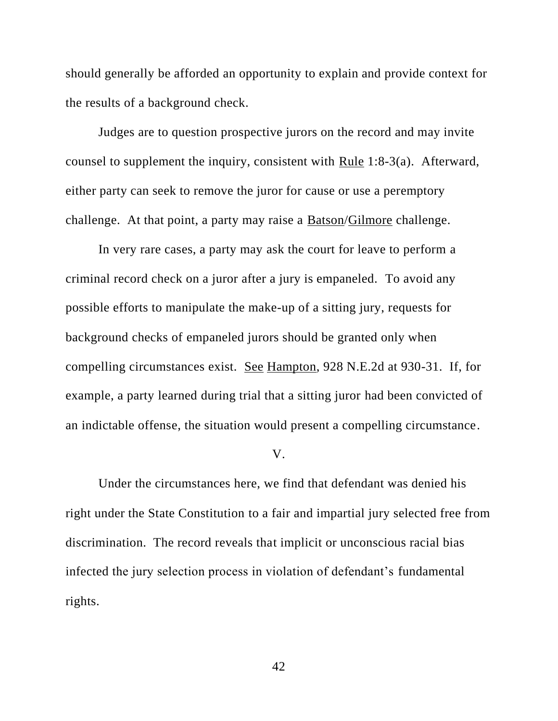should generally be afforded an opportunity to explain and provide context for the results of a background check.

Judges are to question prospective jurors on the record and may invite counsel to supplement the inquiry, consistent with Rule 1:8-3(a). Afterward, either party can seek to remove the juror for cause or use a peremptory challenge. At that point, a party may raise a Batson/Gilmore challenge.

In very rare cases, a party may ask the court for leave to perform a criminal record check on a juror after a jury is empaneled. To avoid any possible efforts to manipulate the make-up of a sitting jury, requests for background checks of empaneled jurors should be granted only when compelling circumstances exist. See Hampton, 928 N.E.2d at 930-31. If, for example, a party learned during trial that a sitting juror had been convicted of an indictable offense, the situation would present a compelling circumstance.

#### V.

Under the circumstances here, we find that defendant was denied his right under the State Constitution to a fair and impartial jury selected free from discrimination. The record reveals that implicit or unconscious racial bias infected the jury selection process in violation of defendant's fundamental rights.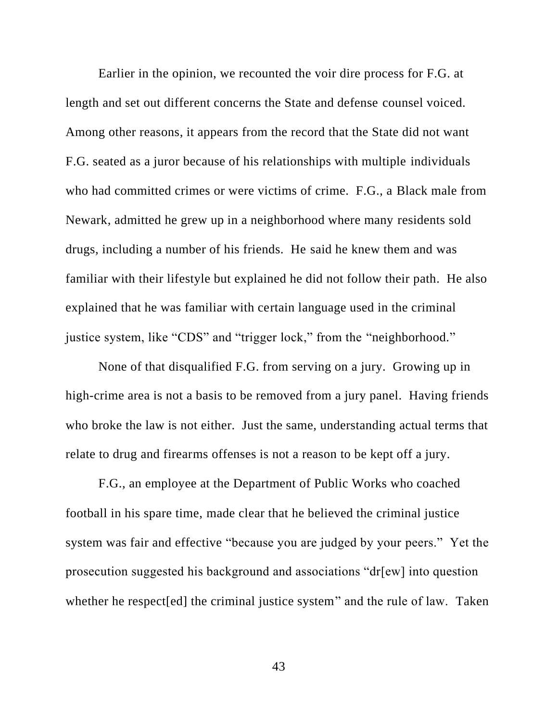Earlier in the opinion, we recounted the voir dire process for F.G. at length and set out different concerns the State and defense counsel voiced. Among other reasons, it appears from the record that the State did not want F.G. seated as a juror because of his relationships with multiple individuals who had committed crimes or were victims of crime. F.G., a Black male from Newark, admitted he grew up in a neighborhood where many residents sold drugs, including a number of his friends. He said he knew them and was familiar with their lifestyle but explained he did not follow their path. He also explained that he was familiar with certain language used in the criminal justice system, like "CDS" and "trigger lock," from the "neighborhood."

None of that disqualified F.G. from serving on a jury. Growing up in high-crime area is not a basis to be removed from a jury panel. Having friends who broke the law is not either. Just the same, understanding actual terms that relate to drug and firearms offenses is not a reason to be kept off a jury.

F.G., an employee at the Department of Public Works who coached football in his spare time, made clear that he believed the criminal justice system was fair and effective "because you are judged by your peers." Yet the prosecution suggested his background and associations "dr[ew] into question whether he respect[ed] the criminal justice system" and the rule of law. Taken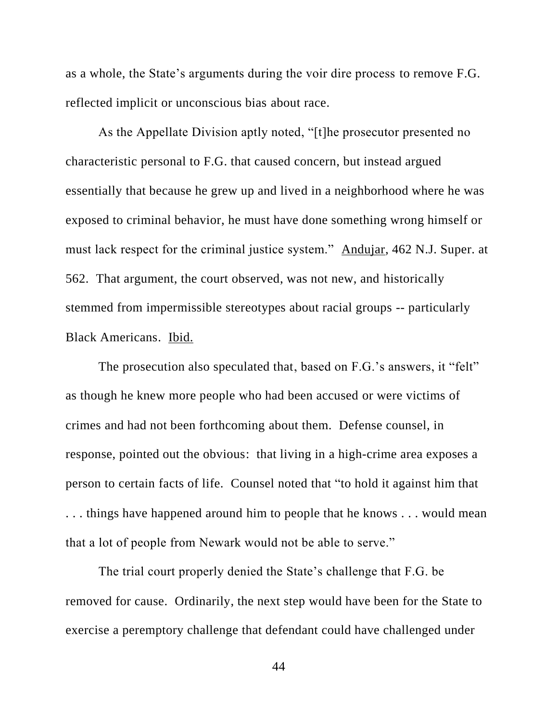as a whole, the State's arguments during the voir dire process to remove F.G. reflected implicit or unconscious bias about race.

As the Appellate Division aptly noted, "[t]he prosecutor presented no characteristic personal to F.G. that caused concern, but instead argued essentially that because he grew up and lived in a neighborhood where he was exposed to criminal behavior, he must have done something wrong himself or must lack respect for the criminal justice system." Andujar, 462 N.J. Super. at 562. That argument, the court observed, was not new, and historically stemmed from impermissible stereotypes about racial groups -- particularly Black Americans. Ibid.

The prosecution also speculated that, based on F.G.'s answers, it "felt" as though he knew more people who had been accused or were victims of crimes and had not been forthcoming about them. Defense counsel, in response, pointed out the obvious: that living in a high-crime area exposes a person to certain facts of life. Counsel noted that "to hold it against him that . . . things have happened around him to people that he knows . . . would mean that a lot of people from Newark would not be able to serve."

The trial court properly denied the State's challenge that F.G. be removed for cause. Ordinarily, the next step would have been for the State to exercise a peremptory challenge that defendant could have challenged under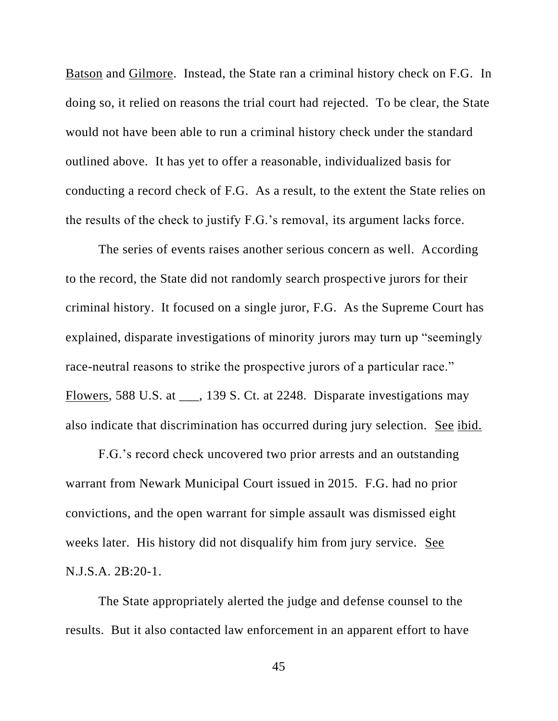Batson and Gilmore. Instead, the State ran a criminal history check on F.G. In doing so, it relied on reasons the trial court had rejected. To be clear, the State would not have been able to run a criminal history check under the standard outlined above. It has yet to offer a reasonable, individualized basis for conducting a record check of F.G. As a result, to the extent the State relies on the results of the check to justify F.G.'s removal, its argument lacks force.

The series of events raises another serious concern as well. According to the record, the State did not randomly search prospective jurors for their criminal history. It focused on a single juror, F.G. As the Supreme Court has explained, disparate investigations of minority jurors may turn up "seemingly race-neutral reasons to strike the prospective jurors of a particular race." Flowers, 588 U.S. at \_\_\_, 139 S. Ct. at 2248. Disparate investigations may also indicate that discrimination has occurred during jury selection. See ibid.

F.G.'s record check uncovered two prior arrests and an outstanding warrant from Newark Municipal Court issued in 2015. F.G. had no prior convictions, and the open warrant for simple assault was dismissed eight weeks later. His history did not disqualify him from jury service. See N.J.S.A. 2B:20-1.

The State appropriately alerted the judge and defense counsel to the results. But it also contacted law enforcement in an apparent effort to have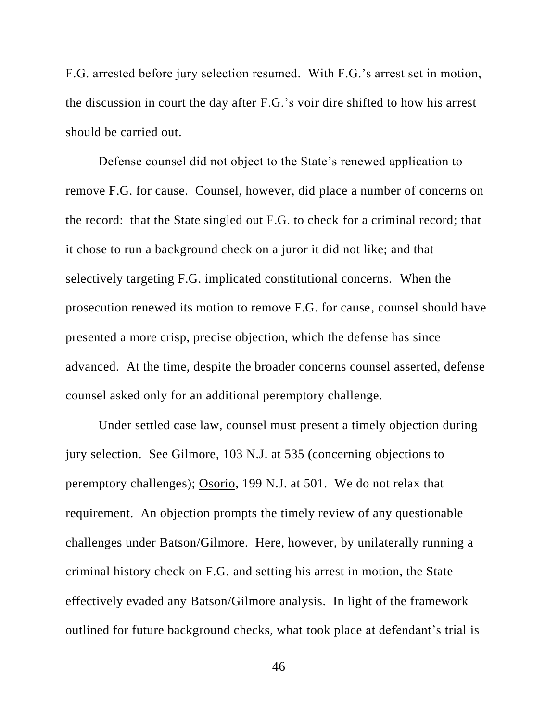F.G. arrested before jury selection resumed. With F.G.'s arrest set in motion, the discussion in court the day after F.G.'s voir dire shifted to how his arrest should be carried out.

Defense counsel did not object to the State's renewed application to remove F.G. for cause. Counsel, however, did place a number of concerns on the record: that the State singled out F.G. to check for a criminal record; that it chose to run a background check on a juror it did not like; and that selectively targeting F.G. implicated constitutional concerns. When the prosecution renewed its motion to remove F.G. for cause, counsel should have presented a more crisp, precise objection, which the defense has since advanced. At the time, despite the broader concerns counsel asserted, defense counsel asked only for an additional peremptory challenge.

Under settled case law, counsel must present a timely objection during jury selection. See Gilmore, 103 N.J. at 535 (concerning objections to peremptory challenges); Osorio, 199 N.J. at 501. We do not relax that requirement. An objection prompts the timely review of any questionable challenges under Batson/Gilmore. Here, however, by unilaterally running a criminal history check on F.G. and setting his arrest in motion, the State effectively evaded any Batson/Gilmore analysis. In light of the framework outlined for future background checks, what took place at defendant's trial is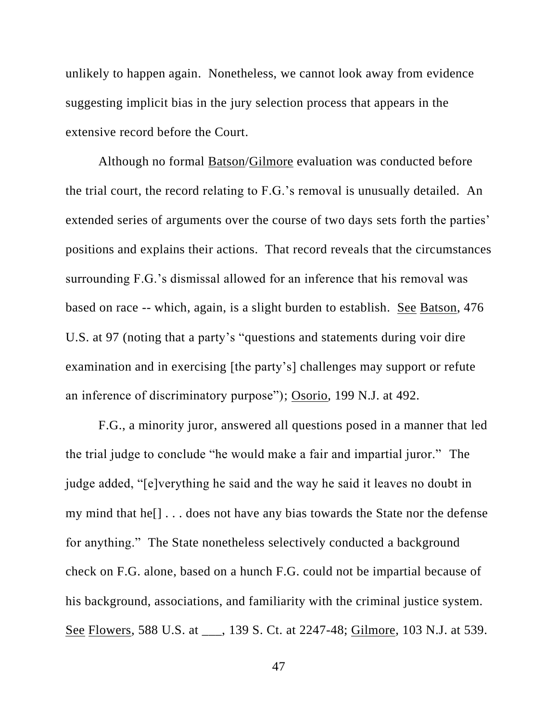unlikely to happen again. Nonetheless, we cannot look away from evidence suggesting implicit bias in the jury selection process that appears in the extensive record before the Court.

Although no formal Batson/Gilmore evaluation was conducted before the trial court, the record relating to F.G.'s removal is unusually detailed. An extended series of arguments over the course of two days sets forth the parties' positions and explains their actions. That record reveals that the circumstances surrounding F.G.'s dismissal allowed for an inference that his removal was based on race -- which, again, is a slight burden to establish. See Batson, 476 U.S. at 97 (noting that a party's "questions and statements during voir dire examination and in exercising [the party's] challenges may support or refute an inference of discriminatory purpose"); Osorio, 199 N.J. at 492.

F.G., a minority juror, answered all questions posed in a manner that led the trial judge to conclude "he would make a fair and impartial juror." The judge added, "[e]verything he said and the way he said it leaves no doubt in my mind that he[] . . . does not have any bias towards the State nor the defense for anything." The State nonetheless selectively conducted a background check on F.G. alone, based on a hunch F.G. could not be impartial because of his background, associations, and familiarity with the criminal justice system. See Flowers, 588 U.S. at \_\_\_, 139 S. Ct. at 2247-48; Gilmore, 103 N.J. at 539.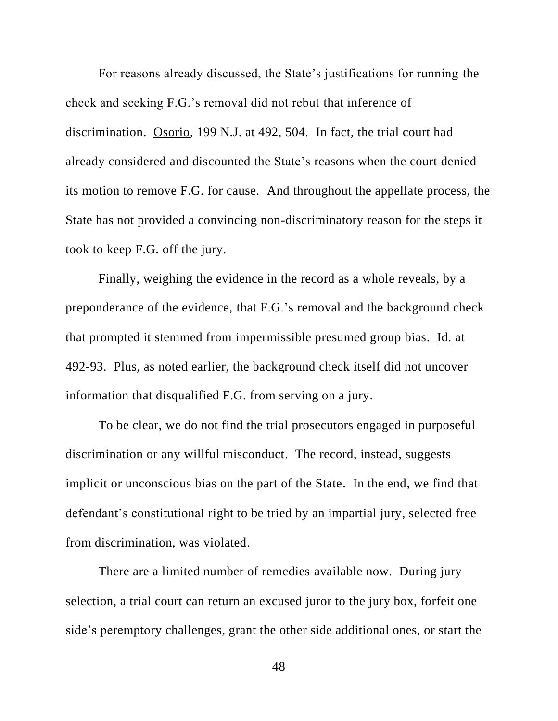For reasons already discussed, the State's justifications for running the check and seeking F.G.'s removal did not rebut that inference of discrimination. Osorio, 199 N.J. at 492, 504. In fact, the trial court had already considered and discounted the State's reasons when the court denied its motion to remove F.G. for cause. And throughout the appellate process, the State has not provided a convincing non-discriminatory reason for the steps it took to keep F.G. off the jury.

Finally, weighing the evidence in the record as a whole reveals, by a preponderance of the evidence, that F.G.'s removal and the background check that prompted it stemmed from impermissible presumed group bias. Id. at 492-93. Plus, as noted earlier, the background check itself did not uncover information that disqualified F.G. from serving on a jury.

To be clear, we do not find the trial prosecutors engaged in purposeful discrimination or any willful misconduct. The record, instead, suggests implicit or unconscious bias on the part of the State. In the end, we find that defendant's constitutional right to be tried by an impartial jury, selected free from discrimination, was violated.

There are a limited number of remedies available now. During jury selection, a trial court can return an excused juror to the jury box, forfeit one side's peremptory challenges, grant the other side additional ones, or start the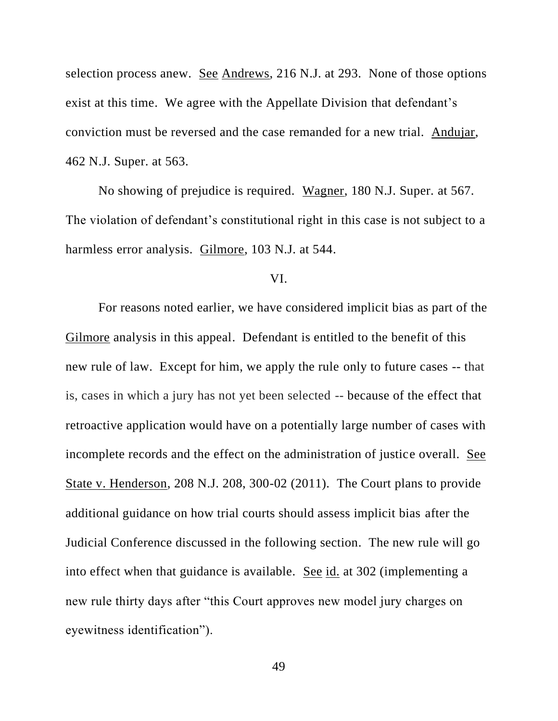selection process anew. See Andrews, 216 N.J. at 293. None of those options exist at this time. We agree with the Appellate Division that defendant's conviction must be reversed and the case remanded for a new trial. Andujar, 462 N.J. Super. at 563.

No showing of prejudice is required. Wagner, 180 N.J. Super. at 567. The violation of defendant's constitutional right in this case is not subject to a harmless error analysis. Gilmore, 103 N.J. at 544.

#### VI.

For reasons noted earlier, we have considered implicit bias as part of the Gilmore analysis in this appeal. Defendant is entitled to the benefit of this new rule of law. Except for him, we apply the rule only to future cases -- that is, cases in which a jury has not yet been selected -- because of the effect that retroactive application would have on a potentially large number of cases with incomplete records and the effect on the administration of justice overall. See State v. Henderson, 208 N.J. 208, 300-02 (2011). The Court plans to provide additional guidance on how trial courts should assess implicit bias after the Judicial Conference discussed in the following section. The new rule will go into effect when that guidance is available. See id. at 302 (implementing a new rule thirty days after "this Court approves new model jury charges on eyewitness identification").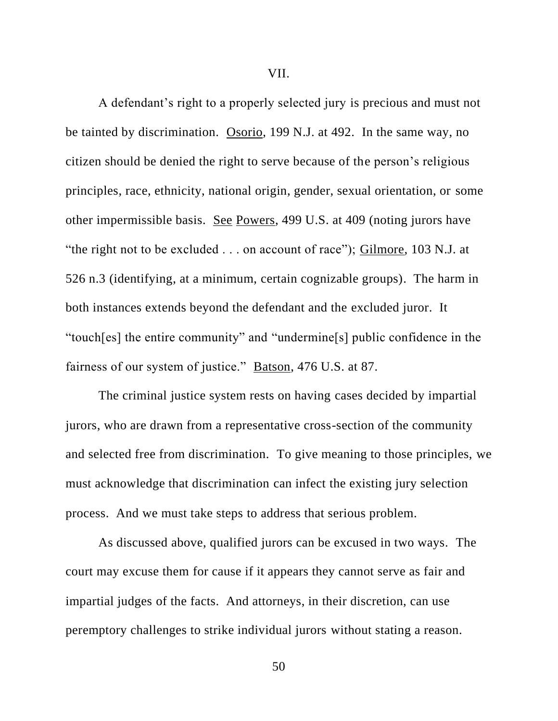VII.

A defendant's right to a properly selected jury is precious and must not be tainted by discrimination. Osorio, 199 N.J. at 492. In the same way, no citizen should be denied the right to serve because of the person's religious principles, race, ethnicity, national origin, gender, sexual orientation, or some other impermissible basis. See Powers, 499 U.S. at 409 (noting jurors have "the right not to be excluded . . . on account of race"); Gilmore, 103 N.J. at 526 n.3 (identifying, at a minimum, certain cognizable groups). The harm in both instances extends beyond the defendant and the excluded juror. It "touch[es] the entire community" and "undermine[s] public confidence in the fairness of our system of justice." Batson, 476 U.S. at 87.

The criminal justice system rests on having cases decided by impartial jurors, who are drawn from a representative cross-section of the community and selected free from discrimination. To give meaning to those principles, we must acknowledge that discrimination can infect the existing jury selection process. And we must take steps to address that serious problem.

As discussed above, qualified jurors can be excused in two ways. The court may excuse them for cause if it appears they cannot serve as fair and impartial judges of the facts. And attorneys, in their discretion, can use peremptory challenges to strike individual jurors without stating a reason.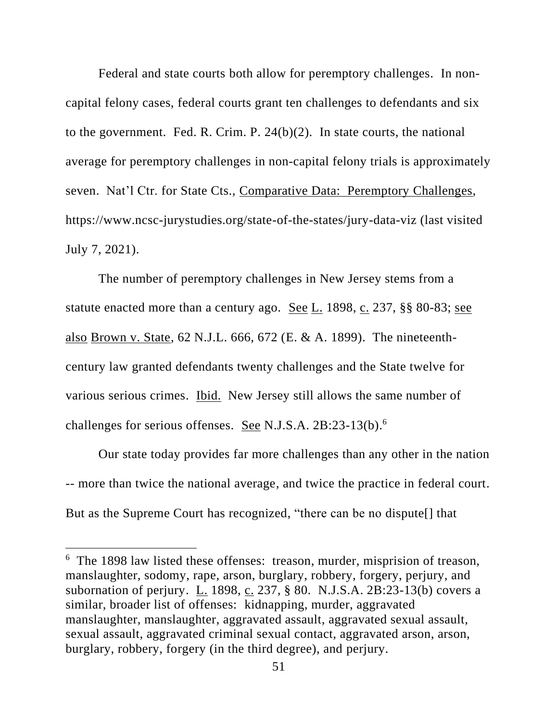Federal and state courts both allow for peremptory challenges. In noncapital felony cases, federal courts grant ten challenges to defendants and six to the government. Fed. R. Crim. P. 24(b)(2). In state courts, the national average for peremptory challenges in non-capital felony trials is approximately seven. Nat'l Ctr. for State Cts., Comparative Data: Peremptory Challenges, https://www.ncsc-jurystudies.org/state-of-the-states/jury-data-viz (last visited July 7, 2021).

The number of peremptory challenges in New Jersey stems from a statute enacted more than a century ago. See L. 1898, c. 237, §§ 80-83; see also Brown v. State, 62 N.J.L. 666, 672 (E. & A. 1899). The nineteenthcentury law granted defendants twenty challenges and the State twelve for various serious crimes. Ibid. New Jersey still allows the same number of challenges for serious offenses. See N.J.S.A. 2B:23-13(b).<sup>6</sup>

Our state today provides far more challenges than any other in the nation -- more than twice the national average, and twice the practice in federal court. But as the Supreme Court has recognized, "there can be no dispute[] that

<sup>6</sup> The 1898 law listed these offenses: treason, murder, misprision of treason, manslaughter, sodomy, rape, arson, burglary, robbery, forgery, perjury, and subornation of perjury. L. 1898, c. 237, § 80. N.J.S.A. 2B:23-13(b) covers a similar, broader list of offenses: kidnapping, murder, aggravated manslaughter, manslaughter, aggravated assault, aggravated sexual assault, sexual assault, aggravated criminal sexual contact, aggravated arson, arson, burglary, robbery, forgery (in the third degree), and perjury.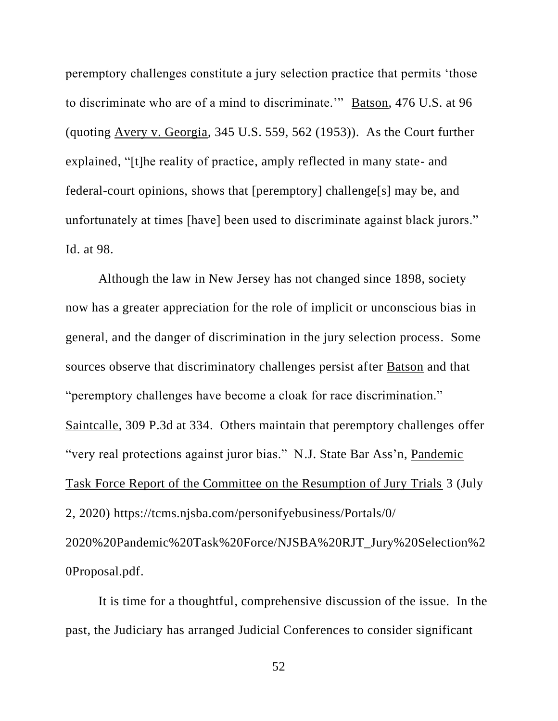peremptory challenges constitute a jury selection practice that permits 'those to discriminate who are of a mind to discriminate.'" Batson, 476 U.S. at 96 (quoting Avery v. Georgia, 345 U.S. 559, 562 (1953)). As the Court further explained, "[t]he reality of practice, amply reflected in many state- and federal-court opinions, shows that [peremptory] challenge[s] may be, and unfortunately at times [have] been used to discriminate against black jurors." Id. at 98.

Although the law in New Jersey has not changed since 1898, society now has a greater appreciation for the role of implicit or unconscious bias in general, and the danger of discrimination in the jury selection process. Some sources observe that discriminatory challenges persist after Batson and that "peremptory challenges have become a cloak for race discrimination." Saintcalle, 309 P.3d at 334. Others maintain that peremptory challenges offer "very real protections against juror bias." N.J. State Bar Ass'n, Pandemic Task Force Report of the Committee on the Resumption of Jury Trials 3 (July 2, 2020) https://tcms.njsba.com/personifyebusiness/Portals/0/ 2020%20Pandemic%20Task%20Force/NJSBA%20RJT\_Jury%20Selection%2 0Proposal.pdf.

It is time for a thoughtful, comprehensive discussion of the issue. In the past, the Judiciary has arranged Judicial Conferences to consider significant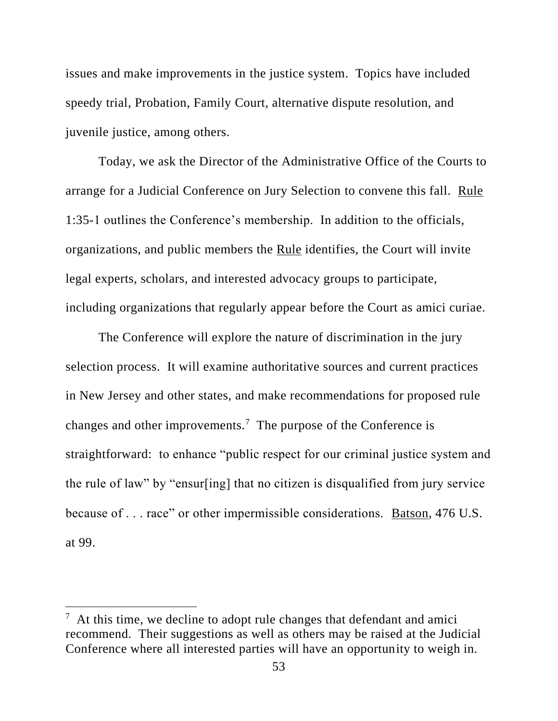issues and make improvements in the justice system. Topics have included speedy trial, Probation, Family Court, alternative dispute resolution, and juvenile justice, among others.

Today, we ask the Director of the Administrative Office of the Courts to arrange for a Judicial Conference on Jury Selection to convene this fall. Rule 1:35-1 outlines the Conference's membership. In addition to the officials, organizations, and public members the Rule identifies, the Court will invite legal experts, scholars, and interested advocacy groups to participate, including organizations that regularly appear before the Court as amici curiae.

The Conference will explore the nature of discrimination in the jury selection process. It will examine authoritative sources and current practices in New Jersey and other states, and make recommendations for proposed rule changes and other improvements.<sup>7</sup> The purpose of the Conference is straightforward: to enhance "public respect for our criminal justice system and the rule of law" by "ensur[ing] that no citizen is disqualified from jury service because of . . . race" or other impermissible considerations. Batson, 476 U.S. at 99.

 $7$  At this time, we decline to adopt rule changes that defendant and amici recommend. Their suggestions as well as others may be raised at the Judicial Conference where all interested parties will have an opportunity to weigh in.